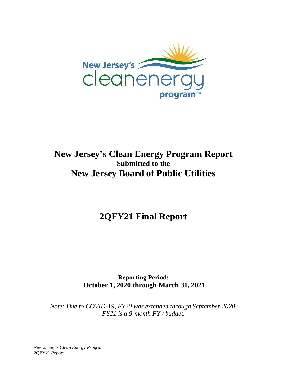

# **New Jersey's Clean Energy Program Report Submitted to the New Jersey Board of Public Utilities**

**2QFY21 Final Report**

**Reporting Period: October 1, 2020 through March 31, 2021**

*Note: Due to COVID-19, FY20 was extended through September 2020. FY21 is a 9-month FY / budget.*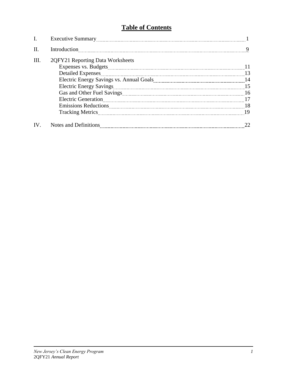# **Table of Contents**

| II.  |                                                                                                                                                                                                                                | 9 |
|------|--------------------------------------------------------------------------------------------------------------------------------------------------------------------------------------------------------------------------------|---|
| III. | 2QFY21 Reporting Data Worksheets                                                                                                                                                                                               |   |
|      |                                                                                                                                                                                                                                |   |
|      | <b>Detailed Expenses</b>                                                                                                                                                                                                       |   |
|      |                                                                                                                                                                                                                                |   |
|      | <b>Electric Energy Savings</b>                                                                                                                                                                                                 |   |
|      |                                                                                                                                                                                                                                |   |
|      |                                                                                                                                                                                                                                |   |
|      | Emissions Reductions 2000 and 2000 and 2000 and 2000 and 2000 and 2000 and 2000 and 2000 and 2000 and 2000 and 2000 and 2000 and 2000 and 2000 and 2000 and 2000 and 2000 and 2000 and 2000 and 2000 and 2000 and 2000 and 200 |   |
|      |                                                                                                                                                                                                                                |   |
| IV.  |                                                                                                                                                                                                                                |   |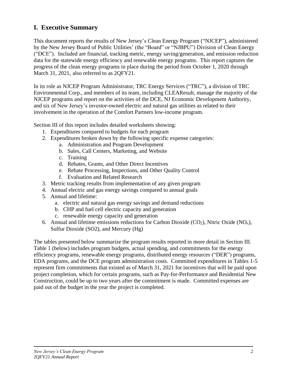# **I. Executive Summary**

This document reports the results of New Jersey's Clean Energy Program ("NJCEP"), administered by the New Jersey Board of Public Utilities' (the "Board" or "NJBPU") Division of Clean Energy ("DCE"). Included are financial, tracking metric, energy saving/generation, and emission reduction data for the statewide energy efficiency and renewable energy programs. This report captures the progress of the clean energy programs in place during the period from October 1, 2020 through March 31, 2021, also referred to as 2QFY21.

In its role as NJCEP Program Administrator, TRC Energy Services ("TRC"), a division of TRC Environmental Corp., and members of its team, including CLEAResult, manage the majority of the NJCEP programs and report on the activities of the DCE, NJ Economic Development Authority, and six of New Jersey's investor-owned electric and natural gas utilities as related to their involvement in the operation of the Comfort Partners low-income program.

Section III of this report includes detailed worksheets showing:

- 1. Expenditures compared to budgets for each program
- 2. Expenditures broken down by the following specific expense categories:
	- a. Administration and Program Development
	- b. Sales, Call Centers, Marketing, and Website
	- c. Training
	- d. Rebates, Grants, and Other Direct Incentives
	- e. Rebate Processing, Inspections, and Other Quality Control
	- f. Evaluation and Related Research
- 3. Metric tracking results from implementation of any given program
- 4. Annual electric and gas energy savings compared to annual goals
- 5. Annual and lifetime:
	- a. electric and natural gas energy savings and demand reductions
	- b. CHP and fuel cell electric capacity and generation
	- c. renewable energy capacity and generation
- 6. Annual and lifetime emissions reductions for Carbon Dioxide (CO<sub>2</sub>), Nitric Oxide (NO<sub>x</sub>), Sulfur Dioxide (SO2), and Mercury (Hg)

The tables presented below summarize the program results reported in more detail in Section III. Table 1 (below) includes program budgets, actual spending, and commitments for the energy efficiency programs, renewable energy programs, distributed energy resources ("DER") programs, EDA programs, and the DCE program administration costs. Committed expenditures in Tables 1-5 represent firm commitments that existed as of March 31, 2021 for incentives that will be paid upon project completion, which for certain programs, such as Pay-for-Performance and Residential New Construction, could be up to two years after the commitment is made. Committed expenses are paid out of the budget in the year the project is completed.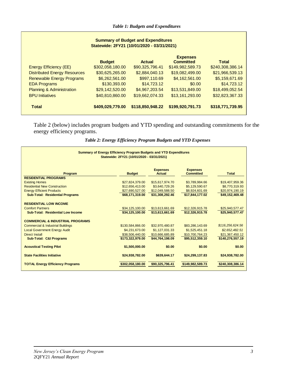| <b>Summary of Budget and Expenditures</b><br>Statewide: 2FY21 (10/01/2020 - 03/31/2021) |                                     |                                   |                                     |                                     |  |  |  |  |  |
|-----------------------------------------------------------------------------------------|-------------------------------------|-----------------------------------|-------------------------------------|-------------------------------------|--|--|--|--|--|
|                                                                                         | <b>Budget</b>                       | Actual                            | <b>Expenses</b><br><b>Committed</b> | Total                               |  |  |  |  |  |
| <b>Energy Efficiency (EE)</b><br><b>Distributed Energy Resources</b>                    | \$302,058,180.00<br>\$30,625,265.00 | \$90,325,796.41<br>\$2,884,040.13 | \$149,982,589.73<br>\$19,082,499.00 | \$240,308,386.14<br>\$21,966,539.13 |  |  |  |  |  |
| <b>Renewable Energy Programs</b>                                                        | \$6,262,561.00                      | \$997,110.69                      | \$4,162,561.00                      | \$5,159,671.69                      |  |  |  |  |  |
| <b>EDA Programs</b><br><b>Planning &amp; Administration</b>                             | \$130,393.00<br>\$29,142,520.00     | \$14,723.12<br>\$4,967,203.54     | \$0.00<br>\$13,531,849.00           | \$14,723.12<br>\$18,499,052.54      |  |  |  |  |  |
| <b>BPU Initiatives</b>                                                                  | \$40,810,860.00                     | \$19,662,074.33                   | \$13,161,293.00                     | \$32,823,367.33                     |  |  |  |  |  |
| <b>Total</b>                                                                            | \$409,029,779.00                    | \$118,850,948.22                  | \$199,920,791.73                    | \$318,771,739.95                    |  |  |  |  |  |

Table 2 (below) includes program budgets and YTD spending and outstanding commitments for the energy efficiency programs.

| <b>Summary of Energy Efficiency Program Budgets and YTD Expenditures</b> | Statewide: 2FY21 (10/01/2020 - 03/31/2021) |                                  |                                     |                  |
|--------------------------------------------------------------------------|--------------------------------------------|----------------------------------|-------------------------------------|------------------|
| Program                                                                  | <b>Budget</b>                              | <b>Expenses</b><br><b>Actual</b> | <b>Expenses</b><br><b>Committed</b> | <b>Total</b>     |
| <b>RESIDENTIAL PROGRAMS</b>                                              |                                            |                                  |                                     |                  |
| <b>Existing Homes</b>                                                    | \$27,824,379.00                            | \$15,617,974.70                  | \$3,789,984.66                      | \$19,407,959.36  |
| <b>Residential New Construction</b>                                      | \$12,656,413.00                            | \$3,640,729.26                   | \$5,129,590.67                      | \$8,770,319.93   |
| <b>Energy Efficient Products</b>                                         | \$27,690,527.00                            | \$12,049,588.50                  | \$8,924,601.69                      | \$20,974,190.19  |
| <b>Sub-Total: Residential Programs</b>                                   | \$68.171.319.00                            | \$31.308.292.46                  | \$17.844.177.02                     | \$49.152.469.48  |
| <b>RESIDENTIAL LOW INCOME</b>                                            |                                            |                                  |                                     |                  |
| <b>Comfort Partners</b>                                                  | \$34,125,100.00                            | \$13,613,661.69                  | \$12,326,915.78                     | \$25,940,577.47  |
| <b>Sub-Total: Residential Low Income</b>                                 | \$34,125,100.00                            | \$13,613,661.69                  | \$12,326,915.78                     | \$25,940,577.47  |
| <b>COMMERCIAL &amp; INDUSTRIAL PROGRAMS</b>                              |                                            |                                  |                                     |                  |
| <b>Commercial &amp; Industrial Buildings</b>                             | \$130,584,866.00                           | \$32,970,480.87                  | \$83,286,143.69                     | \$116,256,624.56 |
| <b>Local Government Energy Audit</b>                                     | \$4,231,673.00                             | \$1,127,031.33                   | \$1,525,451.18                      | \$2,652,482.51   |
| Direct Install                                                           | \$38,506,440.00                            | \$10.666.685.89                  | \$10.700.764.23                     | \$21,367,450.12  |
| <b>Sub-Total: C&amp;I Programs</b>                                       | \$173,322,979.00                           | \$44,764,198.09                  | \$95,512,359.10                     | \$140,276,557.19 |
| <b>Acoustical Testing Pilot</b>                                          | \$1,500,000.00                             | \$0.00                           | \$0.00                              | \$0.00           |
| <b>State Facilities Initiative</b>                                       | \$24,938,782.00                            | \$639,644.17                     | \$24,299,137.83                     | \$24,938,782.00  |
| <b>TOTAL Energy Efficiency Programs</b>                                  | \$302,058,180.00                           | \$90,325,796.41                  | \$149,982,589.73                    | \$240,308,386.14 |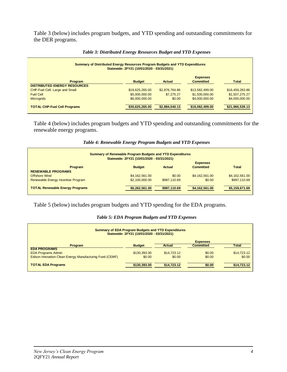Table 3 (below) includes program budgets, and YTD spending and outstanding commitments for the DER programs.

| <b>Summary of Distributed Energy Resources Program Budgets and YTD Expenditures</b><br>Statewide: 2FY21 (10/01/2020 - 03/31/2021) |                 |                |                                     |                 |  |  |  |
|-----------------------------------------------------------------------------------------------------------------------------------|-----------------|----------------|-------------------------------------|-----------------|--|--|--|
| Program                                                                                                                           | <b>Budget</b>   | <b>Actual</b>  | <b>Expenses</b><br><b>Committed</b> | <b>Total</b>    |  |  |  |
| <b>DISTRIBUTED ENERGY RESOURCES</b><br>CHP-Fuel Cell: Large and Small                                                             | \$19,625,265.00 | \$2,876,764.86 | \$13,582,499.00                     | \$16,459,263.86 |  |  |  |
| <b>Fuel Cell</b>                                                                                                                  | \$5,000,000.00  | \$7,275.27     | \$1,500,000.00                      | \$1,507,275.27  |  |  |  |
| <b>Microgrids</b>                                                                                                                 | \$6,000,000.00  | \$0.00         | \$4,000,000.00                      | \$4,000,000.00  |  |  |  |
| <b>TOTAL CHP-Fuel Cell Programs</b>                                                                                               | \$30,625,265.00 | \$2,884,040.13 | \$19,082,499.00                     | \$21,966,539.13 |  |  |  |

## *Table 3: Distributed Energy Resources Budget and YTD Expenses*

Table 4 (below) includes program budgets and YTD spending and outstanding commitments for the renewable energy programs.

| Table 4: Renewable Energy Program Budgets and YTD Expenses |  |  |  |  |
|------------------------------------------------------------|--|--|--|--|
|------------------------------------------------------------|--|--|--|--|

| <b>Summary of Renewable Program Budgets and YTD Expenditures</b><br>Statewide: 2FY21 (10/01/2020 - 03/31/2021) |                |               |                  |                |  |  |  |  |
|----------------------------------------------------------------------------------------------------------------|----------------|---------------|------------------|----------------|--|--|--|--|
|                                                                                                                |                |               | <b>Expenses</b>  |                |  |  |  |  |
| Program<br><b>RENEWABLE PROGRAMS</b>                                                                           | <b>Budget</b>  | <b>Actual</b> | <b>Committed</b> | <b>Total</b>   |  |  |  |  |
| Offshore Wind                                                                                                  | \$4,162,561.00 | \$0.00        | \$4,162,561.00   | \$4,162,561.00 |  |  |  |  |
| Renewable Energy Incentive Program                                                                             | \$2,100,000,00 | \$997.110.69  | \$0.00           | \$997.110.69   |  |  |  |  |
| <b>TOTAL Renewable Energy Programs</b>                                                                         | \$6,262,561.00 | \$997,110.69  | \$4,162,561.00   | \$5,159,671.69 |  |  |  |  |

Table 5 (below) includes program budgets and YTD spending for the EDA programs.

## *Table 5: EDA Program Budgets and YTD Expenses*

| <b>Summary of EDA Program Budgets and YTD Expenditures</b><br>Statewide: 2FY21 (10/01/2020 - 03/31/2021) |               |             |                  |              |  |  |  |
|----------------------------------------------------------------------------------------------------------|---------------|-------------|------------------|--------------|--|--|--|
|                                                                                                          |               |             | <b>Expenses</b>  |              |  |  |  |
| <b>Program</b>                                                                                           | <b>Budget</b> | Actual      | <b>Committed</b> | <b>Total</b> |  |  |  |
| <b>EDA PROGRAMS</b>                                                                                      |               |             |                  |              |  |  |  |
| <b>EDA Programs Admin</b>                                                                                | \$130,393,00  | \$14,723.12 | \$0.00           | \$14,723.12  |  |  |  |
| Edison Innovation Clean Energy Manufacturing Fund (CEMF)                                                 | \$0.00        | \$0.00      | \$0.00           | \$0.00       |  |  |  |
| <b>TOTAL EDA Programs</b>                                                                                | \$130,393.00  | \$14,723.12 | \$0.00           | \$14,723.12  |  |  |  |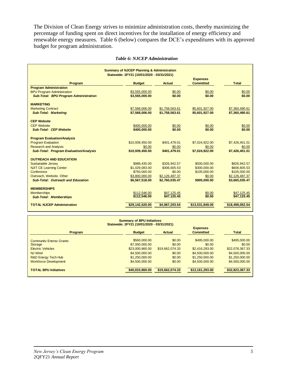The Division of Clean Energy strives to minimize administration costs, thereby maximizing the percentage of funding spent on direct incentives for the installation of energy efficiency and renewable energy measures. Table 6 (below) compares the DCE's expenditures with its approved budget for program administration.

| <b>Summary of NJCEP Planning &amp; Administration</b>                         |                                            |                        |                                     |                          |  |  |
|-------------------------------------------------------------------------------|--------------------------------------------|------------------------|-------------------------------------|--------------------------|--|--|
|                                                                               | Statewide: 2FY21 (10/01/2020 - 03/31/2021) |                        |                                     |                          |  |  |
| Program                                                                       | <b>Budget</b>                              | <b>Actual</b>          | <b>Expenses</b><br><b>Committed</b> | Total                    |  |  |
| <b>Program Administration</b>                                                 |                                            |                        |                                     |                          |  |  |
| <b>BPU Program Administration</b>                                             | \$3,555,000.00                             | \$0.00                 | \$0.00                              | \$0.00                   |  |  |
| <b>Sub-Total: BPU Program Administration</b>                                  | \$3,555,000.00                             | \$0.00                 | \$0.00                              | \$0.00                   |  |  |
| <b>MARKETING</b>                                                              |                                            |                        |                                     |                          |  |  |
| <b>Marketing Contract</b>                                                     | \$7,568,006.00                             | \$1,758,563.61         | \$5,601,927.00                      | \$7,360,490.61           |  |  |
| <b>Sub-Total: Marketing</b>                                                   | \$7,568,006.00                             | \$1,758,563.61         | \$5,601,927.00                      | \$7,360,490.61           |  |  |
| <b>CEP Website</b>                                                            |                                            |                        |                                     |                          |  |  |
| <b>CEP Website</b>                                                            | \$400,000.00                               | \$0.00                 | \$0.00                              | \$0.00                   |  |  |
| <b>Sub-Total: CEP Website</b>                                                 | \$400,000,00                               | \$0.00                 | \$0.00                              | \$0.00                   |  |  |
|                                                                               |                                            |                        |                                     |                          |  |  |
| <b>Program Evaluation/Analysis</b>                                            |                                            |                        |                                     |                          |  |  |
| <b>Program Evaluation</b>                                                     | \$10,939,450.00                            | \$401.479.01           | \$7,024,922.00                      | \$7,426,401.01           |  |  |
| <b>Research and Analysis</b><br><b>Sub-Total: Program Evaluation/Analysis</b> | \$0.00<br>\$10,939,450.00                  | \$0.00<br>\$401,479.01 | \$0.00<br>\$7,024,922.00            | \$0.00<br>\$7,426,401.01 |  |  |
|                                                                               |                                            |                        |                                     |                          |  |  |
| <b>OUTREACH AND EDUCATION</b>                                                 |                                            |                        |                                     |                          |  |  |
| <b>Sustainable Jersey</b>                                                     | \$988.435.00                               | \$326,942.57           | \$500,000.00                        | \$826,942.57             |  |  |
| <b>NJIT CE Learning Center</b>                                                | \$1,029,083.00                             | \$306,605.53           | \$300,000.00                        | \$606,605.53             |  |  |
| Conference                                                                    | \$750,000.00                               | \$0.00                 | \$105,000.00                        | \$105,000.00             |  |  |
| Outreach, Website, Other                                                      | \$3,800,000.00                             | \$2,126,487.37         | \$0.00                              | \$2,126,487.37           |  |  |
| <b>Sub-Total: Outreach and Education</b>                                      | \$6,567,518.00                             | \$2,760,035.47         | \$905,000.00                        | \$3,665,035.47           |  |  |
| <b>MEMBERSHIPS</b>                                                            |                                            |                        |                                     |                          |  |  |
| <b>Memberships</b>                                                            | \$112,546.00                               | \$47,125.45            | \$0.00                              | \$47,125.45              |  |  |
| <b>Sub-Total: Memberships</b>                                                 | \$112,546.00                               | \$47,125.45            | \$0.00                              | \$47,125.45              |  |  |
| <b>TOTAL NJCEP Administration</b>                                             | \$29,142,520.00                            | \$4,967,203.54         | \$13,531,849.00                     | \$18,499,052.54          |  |  |

#### *Table 6: NJCEP Administration*

| <b>Summary of BPU Initiatives</b><br>Statewide: 2FY21 (10/01/2020 - 03/31/2021) |                 |                 |                                     |                 |  |  |  |
|---------------------------------------------------------------------------------|-----------------|-----------------|-------------------------------------|-----------------|--|--|--|
| <b>Program</b>                                                                  | <b>Budget</b>   | Actual          | <b>Expenses</b><br><b>Committed</b> | <b>Total</b>    |  |  |  |
| <b>Community Energy Grants</b>                                                  | \$560,000.00    | \$0.00          | \$495,000.00                        | \$495,000.00    |  |  |  |
| <b>Storage</b>                                                                  | \$7,000,000.00  | \$0.00          | \$0.00                              | \$0.00          |  |  |  |
| <b>Electric Vehicles</b>                                                        | \$23,000,860,00 | \$19.662.074.33 | \$2,416,293.00                      | \$22,078,367.33 |  |  |  |
| <b>NJ Wind</b>                                                                  | \$4,500,000,00  | \$0.00          | \$4,500,000,00                      | \$4,500,000,00  |  |  |  |
| <b>R&amp;D Energy Tech Hub</b>                                                  | \$1,250,000,00  | \$0.00          | \$1,250,000,00                      | \$1,250,000,00  |  |  |  |
| <b>Workforce Development</b>                                                    | \$4,500,000,00  | \$0.00          | \$4,500,000,00                      | \$4,500,000,00  |  |  |  |
| <b>TOTAL BPU Initiatives</b>                                                    | \$40,810,860,00 | \$19,662,074.33 | \$13,161,293,00                     | \$32,823,367,33 |  |  |  |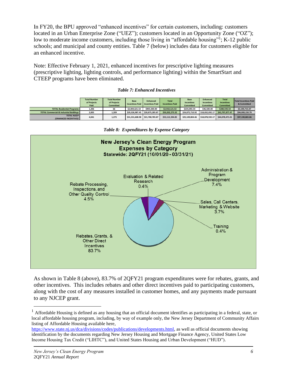In FY20, the BPU approved "enhanced incentives" for certain customers, including: customers located in an Urban Enterprise Zone ("UEZ"); customers located in an Opportunity Zone ("OZ"); low to moderate income customers, including those living in "affordable housing"<sup>1</sup>; K-12 public schools; and municipal and county entities. Table 7 (below) includes data for customers eligible for an enhanced incentive.

Note: Effective February 1, 2021, enhanced incentives for prescriptive lighting measures (prescriptive lighting, lighting controls, and performance lighting) within the SmartStart and CTEEP programs have been eliminated.

|                                                    | <b>Total Number</b><br>of Projects<br>Paid | <b>Total Number</b><br>of Projects<br><b>Committed</b> | <b>Base</b><br><b>Incentives Paid</b> | <b>Enhanced</b><br><b>Incentives Paid</b> | <b>Total</b><br><b>Incentives Paid</b> | <b>Base</b><br><b>Incentives</b><br><b>Committed</b> | <b>Enhanced</b><br><b>Incentives</b><br><b>Committed</b> | <b>Total</b><br><b>Incentives</b><br><b>Committed</b> | Total Incentives Paid<br>& Committed |
|----------------------------------------------------|--------------------------------------------|--------------------------------------------------------|---------------------------------------|-------------------------------------------|----------------------------------------|------------------------------------------------------|----------------------------------------------------------|-------------------------------------------------------|--------------------------------------|
| <b>TOTAL Residential Programs</b>                  | 1,206                                      | 66                                                     | \$2,004.621.53                        | \$905,500.00                              | \$2,910,121.53                         | \$234.093.54                                         | \$46,500.00                                              | \$280.593.54                                          | \$3,190,715.07                       |
| <b>TOTAL Commercial &amp; Industrial Buildings</b> | 2.835                                      | 1,209                                                  | \$29.326.987.45                       | \$20.875.285.87                           | \$50,202,273.32                        | \$24.875.710.92                                      | \$18,832,092.17                                          | \$43.797.877.47                                       | \$94,000,150.79                      |
| <b>TOTAL NJCEP</b><br>(ENHANCED INCENTIVES)        | 4,041                                      | 1,275                                                  | \$31.331.608.98                       | \$21,780,785.87                           | \$53,112,394.85                        | \$25.109.804.46                                      | \$18,878,592.17                                          | \$44,078,471.01                                       | \$97.190.865.86                      |

*Table 7: Enhanced Incentives*

**New Jersey's Clean Energy Program Expenses by Category** Statewide: 2QFY21 (10/01/20 - 03/31/21) **Administration &** Program **Evaluation & Related** Development Research Rebate Processing, 7.4%  $0.4%$ Inspections, and Other Quality Control 4.5% Sales, Call Centers, Marketing & Website  $3.7%$ Training  $0.4%$ Rebates, Grants, & **Other Direct** Incentives 83.7%

*Table 8: Expenditures by Expense Category*

As shown in Table 8 (above), 83.7% of 2QFY21 program expenditures were for rebates, grants, and other incentives. This includes rebates and other direct incentives paid to participating customers, along with the cost of any measures installed in customer homes, and any payments made pursuant to any NJCEP grant.

 $1$  Affordable Housing is defined as any housing that an official document identifies as participating in a federal, state, or local affordable housing program, including, by way of example only, the New Jersey Department of Community Affairs listing of Affordable Housing available here,

[https://www.state.nj.us/dca/divisions/codes/publications/developments.html,](https://www.state.nj.us/dca/divisions/codes/publications/developments.html) as well as official documents showing identification by the documents regarding New Jersey Housing and Mortgage Finance Agency, United States Low Income Housing Tax Credit ("LIHTC"), and United States Housing and Urban Development ("HUD").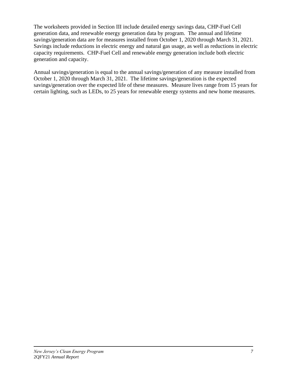The worksheets provided in Section III include detailed energy savings data, CHP-Fuel Cell generation data, and renewable energy generation data by program. The annual and lifetime savings/generation data are for measures installed from October 1, 2020 through March 31, 2021. Savings include reductions in electric energy and natural gas usage, as well as reductions in electric capacity requirements. CHP-Fuel Cell and renewable energy generation include both electric generation and capacity.

Annual savings/generation is equal to the annual savings/generation of any measure installed from October 1, 2020 through March 31, 2021. The lifetime savings/generation is the expected savings/generation over the expected life of these measures. Measure lives range from 15 years for certain lighting, such as LEDs, to 25 years for renewable energy systems and new home measures.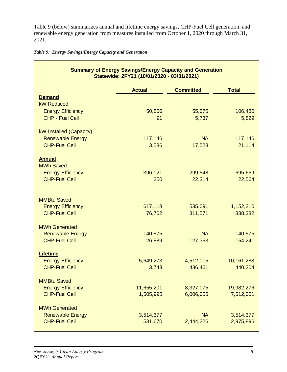Table 9 (below) summarizes annual and lifetime energy savings, CHP-Fuel Cell generation, and renewable energy generation from measures installed from October 1, 2020 through March 31, 2021.

*Table 9: Energy Savings/Energy Capacity and Generation*

| <b>Summary of Energy Savings/Energy Capacity and Generation</b><br>Statewide: 2FY21 (10/01/2020 - 03/31/2021) |                         |                        |                         |  |  |  |  |  |
|---------------------------------------------------------------------------------------------------------------|-------------------------|------------------------|-------------------------|--|--|--|--|--|
|                                                                                                               | <b>Actual</b>           | <b>Committed</b>       | <b>Total</b>            |  |  |  |  |  |
| <b>Demand</b><br><b>kW Reduced</b>                                                                            |                         |                        |                         |  |  |  |  |  |
| <b>Energy Efficiency</b>                                                                                      | 50,806                  | 55,675                 | 106,480                 |  |  |  |  |  |
| CHP - Fuel Cell                                                                                               | 91                      | 5,737                  | 5,829                   |  |  |  |  |  |
| kW Installed (Capacity)                                                                                       |                         |                        |                         |  |  |  |  |  |
| <b>Renewable Energy</b>                                                                                       | 117,146                 | <b>NA</b>              | 117,146                 |  |  |  |  |  |
| <b>CHP-Fuel Cell</b>                                                                                          | 3,586                   | 17,528                 | 21,114                  |  |  |  |  |  |
| <b>Annual</b><br><b>MWh Saved</b>                                                                             |                         |                        |                         |  |  |  |  |  |
| <b>Energy Efficiency</b>                                                                                      | 396,121                 | 299,548                | 695,669                 |  |  |  |  |  |
| <b>CHP-Fuel Cell</b>                                                                                          | 250                     | 22,314                 | 22,564                  |  |  |  |  |  |
| <b>MMBtu Saved</b><br><b>Energy Efficiency</b><br><b>CHP-Fuel Cell</b>                                        | 617,118<br>76,762       | 535,091<br>311,571     | 1,152,210<br>388,332    |  |  |  |  |  |
| <b>MWh Generated</b>                                                                                          |                         |                        |                         |  |  |  |  |  |
| <b>Renewable Energy</b>                                                                                       | 140,575                 | <b>NA</b>              | 140,575                 |  |  |  |  |  |
| <b>CHP-Fuel Cell</b>                                                                                          | 26,889                  | 127,353                | 154,241                 |  |  |  |  |  |
| <b>Lifetime</b><br><b>Energy Efficiency</b>                                                                   | 5,649,273               | 4,512,015              | 10,161,288              |  |  |  |  |  |
| <b>CHP-Fuel Cell</b>                                                                                          | 3,743                   | 436,461                | 440,204                 |  |  |  |  |  |
| <b>MMBtu Saved</b>                                                                                            |                         |                        |                         |  |  |  |  |  |
| <b>Energy Efficiency</b><br><b>CHP-Fuel Cell</b>                                                              | 11,655,201<br>1,505,995 | 8,327,075<br>6,006,055 | 19,982,276<br>7,512,051 |  |  |  |  |  |
|                                                                                                               |                         |                        |                         |  |  |  |  |  |
| <b>MWh Generated</b><br><b>Renewable Energy</b>                                                               | 3,514,377               | <b>NA</b>              | 3,514,377               |  |  |  |  |  |
| <b>CHP-Fuel Cell</b>                                                                                          | 531,670                 | 2,444,226              | 2,975,896               |  |  |  |  |  |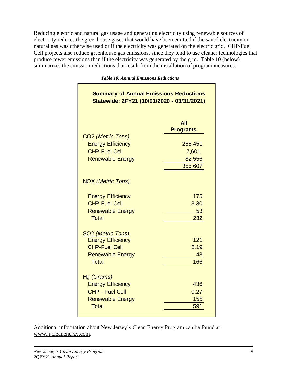Reducing electric and natural gas usage and generating electricity using renewable sources of electricity reduces the greenhouse gases that would have been emitted if the saved electricity or natural gas was otherwise used or if the electricity was generated on the electric grid. CHP-Fuel Cell projects also reduce greenhouse gas emissions, since they tend to use cleaner technologies that produce fewer emissions than if the electricity was generated by the grid. Table 10 (below) summarizes the emission reductions that result from the installation of program measures.

| <b>Summary of Annual Emissions Reductions</b><br>Statewide: 2FY21 (10/01/2020 - 03/31/2021) |                               |
|---------------------------------------------------------------------------------------------|-------------------------------|
| CO <sub>2</sub> (Metric Tons)                                                               | <b>All</b><br><b>Programs</b> |
| <b>Energy Efficiency</b>                                                                    | 265,451                       |
| <b>CHP-Fuel Cell</b>                                                                        | 7,601                         |
| <b>Renewable Energy</b>                                                                     | 82,556                        |
|                                                                                             | 355,607                       |
| <b>NOX (Metric Tons)</b>                                                                    |                               |
| <b>Energy Efficiency</b>                                                                    | 175                           |
| <b>CHP-Fuel Cell</b>                                                                        | 3.30                          |
| <b>Renewable Energy</b>                                                                     | 53                            |
| <b>Total</b>                                                                                | 232                           |
| SO <sub>2</sub> (Metric Tons)                                                               |                               |
| <b>Energy Efficiency</b><br><b>CHP-Fuel Cell</b>                                            | 121<br>2.19                   |
| <b>Renewable Energy</b>                                                                     | 43                            |
| <b>Total</b>                                                                                | 166                           |
| Hg (Grams)                                                                                  |                               |
| <b>Energy Efficiency</b>                                                                    | 436                           |
| <b>CHP - Fuel Cell</b>                                                                      | 0.27                          |
| <b>Renewable Energy</b>                                                                     | 155                           |
| <b>Total</b>                                                                                | 591                           |

*Table 10: Annual Emissions Reductions*

Additional information about New Jersey's Clean Energy Program can be found at [www.njcleanenergy.com.](http://www.njcleanenergy.com/)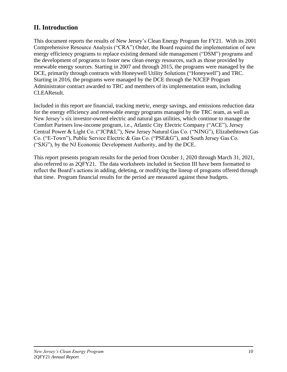# **II. Introduction**

This document reports the results of New Jersey's Clean Energy Program for FY21. With its 2001 Comprehensive Resource Analysis ("CRA") Order, the Board required the implementation of new energy efficiency programs to replace existing demand side management ("DSM") programs and the development of programs to foster new clean energy resources, such as those provided by renewable energy sources. Starting in 2007 and through 2015, the programs were managed by the DCE, primarily through contracts with Honeywell Utility Solutions ("Honeywell") and TRC. Starting in 2016, the programs were managed by the DCE through the NJCEP Program Administrator contract awarded to TRC and members of its implementation team, including CLEAResult.

Included in this report are financial, tracking metric, energy savings, and emissions reduction data for the energy efficiency and renewable energy programs managed by the TRC team, as well as New Jersey's six investor-owned electric and natural gas utilities, which continue to manage the Comfort Partners low-income program, i.e., Atlantic City Electric Company ("ACE"), Jersey Central Power & Light Co. ("JCP&L"), New Jersey Natural Gas Co. ("NJNG"), Elizabethtown Gas Co. ("E-Town"), Public Service Electric & Gas Co. ("PSE&G"), and South Jersey Gas Co. ("SJG"), by the NJ Economic Development Authority, and by the DCE.

This report presents program results for the period from October 1, 2020 through March 31, 2021, also referred to as 2QFY21. The data worksheets included in Section III have been formatted to reflect the Board's actions in adding, deleting, or modifying the lineup of programs offered through that time. Program financial results for the period are measured against those budgets.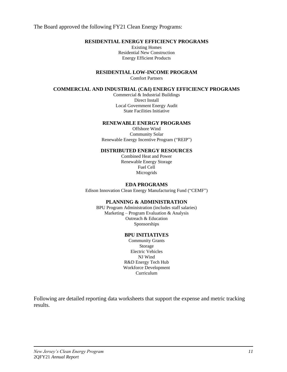The Board approved the following FY21 Clean Energy Programs:

## **RESIDENTIAL ENERGY EFFICIENCY PROGRAMS**

Existing Homes Residential New Construction Energy Efficient Products

**RESIDENTIAL LOW-INCOME PROGRAM**

Comfort Partners

## **COMMERCIAL AND INDUSTRIAL (C&I) ENERGY EFFICIENCY PROGRAMS**

Commercial & Industrial Buildings Direct Install Local Government Energy Audit State Facilities Initiative

#### **RENEWABLE ENERGY PROGRAMS**

Offshore Wind Community Solar Renewable Energy Incentive Program ("REIP")

## **DISTRIBUTED ENERGY RESOURCES**

Combined Heat and Power Renewable Energy Storage Fuel Cell Microgrids

### **EDA PROGRAMS**

Edison Innovation Clean Energy Manufacturing Fund ("CEMF")

#### **PLANNING & ADMINISTRATION**

BPU Program Administration (includes staff salaries) Marketing – Program Evaluation & Analysis Outreach & Education Sponsorships

#### **BPU INITIATIVES**

Community Grants Storage Electric Vehicles NJ Wind R&D Energy Tech Hub Workforce Development Curriculum

Following are detailed reporting data worksheets that support the expense and metric tracking results.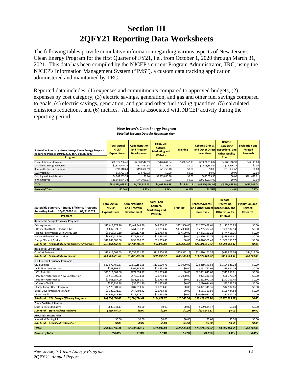# **Section III 2QFY21 Reporting Data Worksheets**

The following tables provide cumulative information regarding various aspects of New Jersey's Clean Energy Program for the first Quarter of FY21, i.e., from October 1, 2020 through March 31, 2021. This data has been compiled by the NJCEP's current Program Administrator, TRC, using the NJCEP's Information Management System ("IMS"), a custom data tracking application administered and maintained by TRC.

Reported data includes: (1) expenses and commitments compared to approved budgets, (2) expenses by cost category, (3) electric savings, generation, and gas and other fuel savings compared to goals, (4) electric savings, generation, and gas and other fuel saving quantities, (5) calculated emissions reductions, and (6) metrics. All data is associated with NJCEP activity during the reporting period.

| Statewide Summary - New Jerseys Clean Energy Program<br>Reporting Period: 10/01/2020 thru 03/31/2021<br>Program | <b>Total Actual</b><br><b>NJCEP</b><br><b>Expenditures</b> | <b>Administration</b><br>and Program<br><b>Development</b> | Sales, Call<br>Centers.<br><b>Marketing and</b><br>Website | <b>Training</b> | Rebates.Grants.<br>and Other Direct Inspections, and<br><b>Incentives</b> | Rebate<br>Processing,<br><b>Other Quality</b><br><b>Control</b> | <b>Evaluation and</b><br>Related<br><b>Research</b> |
|-----------------------------------------------------------------------------------------------------------------|------------------------------------------------------------|------------------------------------------------------------|------------------------------------------------------------|-----------------|---------------------------------------------------------------------------|-----------------------------------------------------------------|-----------------------------------------------------|
| <b>Energy Efficiency Programs</b>                                                                               | \$90,325,796.41                                            | \$7.520.547.19                                             | \$476,842.04                                               | \$426,842.13    | \$77,071,333.07                                                           | \$4,786,118.98                                                  | \$44,113.00                                         |
| <b>Distributed Energy Resources</b>                                                                             | \$2,884,040.13                                             | \$321,557.92                                               | \$21,753.48                                                | \$0.00          | \$2,503,832.44                                                            | \$36,896.29                                                     | \$0.00                                              |
| Renewable Energy Programs                                                                                       | \$997,110.69                                               | \$458,404.59                                               | \$21,753.48                                                | \$0.00          | \$0.00                                                                    | \$516,952.62                                                    | \$0.00                                              |
| <b>EDA Programs</b>                                                                                             | \$14,723.12                                                | \$14,723.12                                                | \$0.00                                                     | \$0.00          | \$0.00                                                                    | \$0.00                                                          | \$0.00                                              |
| Planning and Administration                                                                                     | \$4,967,203.54                                             | \$0.00                                                     | \$3,885,050.98                                             | \$0.00          | \$680,673.55                                                              | \$0.00                                                          | \$401,479.01                                        |
| <b>BPU Initiatives</b>                                                                                          | \$19,662,074.33                                            | \$441,099.33                                               | \$0.00                                                     | \$0.00          | \$19,220,975.00                                                           | \$0.00                                                          | \$0.00                                              |
| <b>TOTAL</b>                                                                                                    | \$118,850,948.22                                           | \$8,756,332.15                                             | 54,405,399.98                                              | \$426,842.13    | \$99,476,814.06                                                           | \$5,339,967.89                                                  | \$445,592.01                                        |
| <b>Percent of Total</b>                                                                                         | 100.00%                                                    | $7.37\%$                                                   | 3.71%                                                      | 0.36%           | 83.70%                                                                    | 4.49%                                                           | 0.37%                                               |

#### **New Jersey's Clean Energy Program** *Detailed Expense Data for Reporting Year*

| <b>Statewide Summary - Energy Efficiency Programs</b><br>Reporting Period: 10/01/2020 thru 03/31/2021<br>Program | <b>Total Actual</b><br><b>NJCEP</b><br><b>Expenditures</b> | <b>Administration</b><br>and Program<br><b>Development</b> | Sales, Call<br>Centers,<br><b>Marketing and</b><br>Website | <b>Training</b> | Rebates, Grants,<br>and Other Direct<br><b>Incentives</b> | <b>Rebate</b><br>Processing.<br>Inspections, and<br><b>Other Quality</b><br><b>Control</b> | <b>Evaluation and</b><br><b>Related</b><br><b>Research</b> |
|------------------------------------------------------------------------------------------------------------------|------------------------------------------------------------|------------------------------------------------------------|------------------------------------------------------------|-----------------|-----------------------------------------------------------|--------------------------------------------------------------------------------------------|------------------------------------------------------------|
| <b>Residential Energy Efficiency Programs</b>                                                                    |                                                            |                                                            |                                                            |                 |                                                           |                                                                                            |                                                            |
| <b>Existing Homes</b>                                                                                            | \$15,617,974.70                                            | \$1,441,948.30                                             | \$43,506.90                                                | \$202,500.00    | \$12,757,498.61                                           | \$1,172,520.89                                                                             | \$0.00                                                     |
| Residential HVAC - Electric & Gas                                                                                | \$6,602,024.51                                             | \$761,831.15                                               | \$21,753.42                                                | \$135,000.00    | \$5,285,337.40                                            | \$398,102.54                                                                               | \$0.00                                                     |
| Home Performance with Energy Star                                                                                | \$9,015,950.19                                             | \$680,117.15                                               | \$21.753.48                                                | \$67,500.00     | \$7,472,161.21                                            | \$774,418.35                                                                               | \$0.00                                                     |
| <b>Residential New Construction</b>                                                                              | \$3,640,729.26                                             | \$779,142.47                                               | \$21,753.42                                                | \$0.00          | \$2,520,197.76                                            | \$319,635.61                                                                               | \$0.00                                                     |
| <b>Energy Efficient Products</b>                                                                                 | \$12,049,588.50                                            | \$499,320.65                                               | \$21,753.48                                                | \$0.00          | \$10,026,360.40                                           | \$1,502,153.97                                                                             | \$0.00                                                     |
| <b>Sub-Total: Residential Energy Efficiency Programs</b>                                                         | \$31,308,292.46                                            | \$2,720,411.42                                             | \$87,013.80                                                | \$202,500.00    | \$25,304,056.77                                           | \$2,994,310.47                                                                             | \$0.00                                                     |
| <b>Residential Low Income</b>                                                                                    |                                                            |                                                            |                                                            |                 |                                                           |                                                                                            |                                                            |
| <b>Comfort Partners</b>                                                                                          | \$13,613,661.69                                            | \$1,055,421.33                                             | \$215,800.52                                               | \$208,342.13    | \$11,670,161.37                                           | \$419,823.34                                                                               | \$44,113.00                                                |
| <b>Sub-Total: Residential Low Income</b>                                                                         | \$13.613.661.69                                            | \$1,055,421.33                                             | \$215,800.52                                               | \$208,342.13    | \$11,670,161.37                                           | \$419,823.34                                                                               | \$44,113.00                                                |
| C & I Energy Efficiency Programs                                                                                 |                                                            |                                                            |                                                            |                 |                                                           |                                                                                            |                                                            |
| <b>C&amp;I Buildings</b>                                                                                         | \$32,970,480.87                                            | \$2,810,181.95                                             | \$130,520.76                                               | \$16,000.00     | \$28,819,149.88                                           | \$1,194,628.28                                                                             | \$0.00                                                     |
| C&I New Construction                                                                                             | \$783.365.52                                               | \$466.135.73                                               | \$21.753.48                                                | \$0.00          | \$261.792.02                                              | \$33,684.29                                                                                | \$0.00                                                     |
| C&I Retrofit                                                                                                     | \$23,711,507.00                                            | \$772,074.17                                               | \$21,753.42                                                | \$0.00          | \$22,001,819.60                                           | \$915,859.81                                                                               | \$0.00                                                     |
| Pay-for-Performance New Construction                                                                             | \$1,513,300.86                                             | \$477,534.96                                               | \$21,753.48                                                | \$16,000.00     | \$971,240.10                                              | \$26,772.32                                                                                | \$0.00                                                     |
| Pay-for-Performance                                                                                              | \$2,008,687.09                                             | \$551,251.97                                               | \$21,753.48                                                | \$0.00          | \$1,292,972.19                                            | \$142,709.45                                                                               | \$0.00                                                     |
| Custom C&I Pilot                                                                                                 | \$380,239.18                                               | \$55,371.40                                                | \$21,753.42                                                | \$0.00          | \$270,014.61                                              | \$33,099.75                                                                                | \$0.00                                                     |
| Large Energy Users Program                                                                                       | \$4,573,381.22                                             | \$487,813.72                                               | \$21,753.48                                                | \$0.00          | \$4,021,311.36                                            | \$42,502.66                                                                                | \$0.00                                                     |
| Local Government Energy Audit                                                                                    | \$1,127,031.33                                             | \$447,403.42                                               | \$21,753.48                                                | \$0.00          | \$551,389.59                                              | \$106,484.84                                                                               | \$0.00                                                     |
| Direct Install                                                                                                   | \$10,666,685.89                                            | \$487,129.07                                               | \$21,753.48                                                | \$0.00          | \$10,086,931.29                                           | \$70,872.05                                                                                | \$0.00                                                     |
| <b>Sub-Total: C &amp; I Energy Efficiency Programs</b>                                                           | \$44,764,198.09                                            | \$3,744,714.44                                             | \$174,027.72                                               | \$16,000.00     | \$39,457,470.76                                           | \$1,371,985.17                                                                             | \$0.00                                                     |
| <b>State Facilities Initiative</b>                                                                               |                                                            |                                                            |                                                            |                 |                                                           |                                                                                            |                                                            |
| <b>State Facilities Initiative</b>                                                                               | \$639,644.17                                               | \$0.00                                                     | \$0.00                                                     | \$0.00          | \$639,644.17                                              | \$0.00                                                                                     | \$0.00                                                     |
| <b>Sub-Total: State Facilities Initiative</b>                                                                    | \$639,644.17                                               | \$0.00                                                     | \$0.00                                                     | <b>\$0.00</b>   | \$639,644.17                                              | \$0.00                                                                                     | \$0.00                                                     |
| <b>Acoustical Testing Pilot</b>                                                                                  |                                                            |                                                            |                                                            |                 |                                                           |                                                                                            |                                                            |
| <b>Acoustical Testing Pilot</b>                                                                                  | \$0.00                                                     | \$0.00                                                     | \$0.00                                                     | \$0.00          | \$0.00                                                    | \$0.00                                                                                     | \$0.00                                                     |
| <b>Sub-Total: Acoustical Testing Pilot</b>                                                                       | \$0.00                                                     | \$0.00                                                     | \$0.00                                                     | \$0.00          | \$0.00                                                    | \$0.00                                                                                     | \$0.00                                                     |
| <b>TOTAL</b>                                                                                                     | \$90,325,796.41                                            | \$7.520.547.19                                             | \$476.842.04                                               | \$426.842.13    | \$77.071.333.07                                           | \$4.786.118.98                                                                             | \$44,113.00                                                |
| <b>Percent of Total</b>                                                                                          | 100.00%                                                    | 8.33%                                                      | 0.53%                                                      | 0.47%           | 85.33%                                                    | 5.30%                                                                                      | 0.05%                                                      |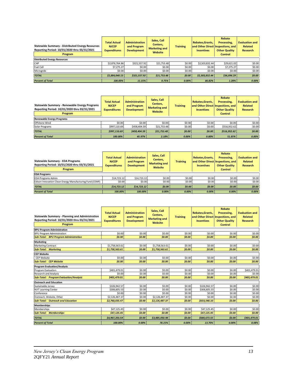| Statewide Summary - Distributed Energy Resources<br>Reporting Period: 10/01/2020 thru 03/31/2021<br>Program | <b>Total Actual</b><br><b>NJCEP</b><br><b>Expenditures</b> | <b>Administration</b><br>and Program<br><b>Development</b> | Sales, Call<br>Centers,<br><b>Marketing and</b><br>Website | <b>Training</b> | Rebates, Grants,<br><b>Incentives</b> | Rebate<br>Processing,<br>and Other Direct Inspections, and<br><b>Other Quality</b><br><b>Control</b> | <b>Evaluation and</b><br>Related<br>Research |
|-------------------------------------------------------------------------------------------------------------|------------------------------------------------------------|------------------------------------------------------------|------------------------------------------------------------|-----------------|---------------------------------------|------------------------------------------------------------------------------------------------------|----------------------------------------------|
| <b>Distributed Energy Resources</b>                                                                         |                                                            |                                                            |                                                            |                 |                                       |                                                                                                      |                                              |
| <b>CHP</b>                                                                                                  | \$2.876.764.86                                             | \$321,557.92                                               | \$21,753.48                                                | \$0.00          | \$2,503,832.44                        | \$29,621.02                                                                                          | \$0.00                                       |
| Fuel Cell                                                                                                   | \$7.275.27                                                 | \$0.00                                                     | \$0.00                                                     | \$0.00          | \$0.00                                | \$7,275.27                                                                                           | \$0.00                                       |
| Microgrids                                                                                                  | \$0.00                                                     | \$0.00                                                     | \$0.00                                                     | \$0.00          | \$0.00                                | \$0.00                                                                                               | \$0.00                                       |
| <b>TOTAL</b>                                                                                                | \$2,884,040.13                                             | \$321,557.92                                               | \$21,753.48                                                | \$0.00          | \$2,503,832.44                        | \$36,896.29                                                                                          | \$0.00                                       |
| <b>Percent of Total</b>                                                                                     | 100.00%                                                    | 11.15%                                                     | 0.75%                                                      | 0.00%           | 86.82%                                | 1.28%                                                                                                | 0.00%                                        |

| Statewide Summary - Renewable Energy Programs<br>Reporting Period: 10/01/2020 thru 03/31/2021<br>Program | <b>Total Actual</b><br><b>NJCEP</b><br><b>Expenditures</b> | <b>Administration</b><br>and Program<br><b>Development</b> | Sales, Call<br>Centers,<br><b>Marketing and</b><br>Website | <b>Training</b> | Rebates.Grants.<br><b>Incentives</b> | Rebate<br>Processing.<br>and Other Direct Inspections, and<br><b>Other Quality</b><br><b>Control</b> | <b>Evaluation and</b><br><b>Related</b><br>Research |
|----------------------------------------------------------------------------------------------------------|------------------------------------------------------------|------------------------------------------------------------|------------------------------------------------------------|-----------------|--------------------------------------|------------------------------------------------------------------------------------------------------|-----------------------------------------------------|
| <b>Renewable Energy Programs</b>                                                                         |                                                            |                                                            |                                                            |                 |                                      |                                                                                                      |                                                     |
| Offshore Wind                                                                                            | \$0.00                                                     | \$0.00                                                     | \$0.00                                                     | \$0.00          | \$0.00                               | \$0.00                                                                                               | \$0.00                                              |
| Solar Programs                                                                                           | \$997.110.69                                               | \$458,404.59                                               | \$21,753.48                                                | \$0.00          | \$0.00                               | \$516,952.62                                                                                         | \$0.00                                              |
| <b>TOTAL</b>                                                                                             | \$997,110.69                                               | \$458,404.59                                               | \$21,753.48                                                | \$0.00          | \$0.00                               | \$516,952.62                                                                                         | \$0.00                                              |
| <b>Percent of Total</b>                                                                                  | 100.00%                                                    | 45.97%                                                     | 2.18%                                                      | 0.00%           | 0.00%                                | 51.85%                                                                                               | 0.00%                                               |

| <b>Statewide Summary - EDA Programs</b><br>Reporting Period: 10/01/2020 thru 03/31/2021<br>Program | <b>Total Actual</b><br><b>NJCEP</b><br><b>Expenditures</b> | <b>Administration</b><br>and Program<br><b>Development</b> | Sales, Call<br>Centers,<br><b>Marketing and</b><br>Website | <b>Training</b> | Rebates, Grants,<br>and Other Direct Inspections, and<br><b>Incentives</b> | Rebate<br>Processing,<br><b>Other Quality</b><br><b>Control</b> | <b>Evaluation and</b><br><b>Related</b><br><b>Research</b> |
|----------------------------------------------------------------------------------------------------|------------------------------------------------------------|------------------------------------------------------------|------------------------------------------------------------|-----------------|----------------------------------------------------------------------------|-----------------------------------------------------------------|------------------------------------------------------------|
| <b>EDA Programs</b>                                                                                |                                                            |                                                            |                                                            |                 |                                                                            |                                                                 |                                                            |
| <b>EDA Programs Admin</b>                                                                          | \$14,723.12                                                | \$14,723.12                                                | \$0.00                                                     | \$0.00          | \$0.00                                                                     | \$0.00                                                          | \$0.00                                                     |
| Edison Innovation Clean Energy Manufacturing Fund (CEMF)                                           | \$0.00                                                     | \$0.00                                                     | \$0.00                                                     | \$0.00          | \$0.00                                                                     | \$0.00                                                          | \$0.00                                                     |
| <b>TOTAL</b>                                                                                       | \$14,723.12                                                | \$14,723.12                                                | \$0.00                                                     | \$0.00          | \$0.00                                                                     | \$0.00                                                          | \$0.00                                                     |
| <b>Percent of Total</b>                                                                            | 100.00%                                                    | 100.00%                                                    | $0.00\%$                                                   | 0.00%           | 0.00%                                                                      | 0.00%                                                           | 0.00%                                                      |

| <b>Statewide Summary - Planning and Administration</b><br>Reporting Period: 10/01/2020 thru 03/31/2021<br>Program | <b>Total Actual</b><br><b>NJCEP</b><br><b>Expenditures</b> | <b>Administration</b><br>and Program<br><b>Development</b> | Sales, Call<br>Centers,<br><b>Marketing and</b><br>Website | <b>Training</b> | Rebates, Grants,<br>and Other Direct Inspections, and<br><b>Incentives</b> | <b>Rebate</b><br>Processing,<br><b>Other Quality</b><br><b>Control</b> | <b>Evaluation and</b><br><b>Related</b><br><b>Research</b> |
|-------------------------------------------------------------------------------------------------------------------|------------------------------------------------------------|------------------------------------------------------------|------------------------------------------------------------|-----------------|----------------------------------------------------------------------------|------------------------------------------------------------------------|------------------------------------------------------------|
| <b>BPU Program Administration</b>                                                                                 |                                                            |                                                            |                                                            |                 |                                                                            |                                                                        |                                                            |
| <b>BPU Program Administration</b>                                                                                 | \$0.00                                                     | \$0.00                                                     | \$0.00                                                     | \$0.00          | \$0.00                                                                     | \$0.00                                                                 | \$0.00                                                     |
| <b>Sub-Total: BPU Program Administration</b>                                                                      | \$0.00                                                     | \$0.00                                                     | \$0.00                                                     | \$0.00          | \$0.00                                                                     | \$0.00                                                                 | \$0.00                                                     |
| Marketing                                                                                                         |                                                            |                                                            |                                                            |                 |                                                                            |                                                                        |                                                            |
| <b>Marketing Contract</b>                                                                                         | \$1,758,563.61                                             | \$0.00                                                     | \$1,758,563.61                                             | \$0.00          | \$0.00                                                                     | \$0.00                                                                 | \$0.00                                                     |
| <b>Sub-Total: Marketing</b>                                                                                       | \$1,758,563.61                                             | \$0.00                                                     | \$1,758,563.61                                             | \$0.00          | \$0.00                                                                     | \$0.00                                                                 | \$0.00                                                     |
| <b>CEP Website</b>                                                                                                |                                                            |                                                            |                                                            |                 |                                                                            |                                                                        |                                                            |
| <b>CEP Website</b>                                                                                                | \$0.00                                                     | \$0.00                                                     | \$0.00                                                     | \$0.00          | \$0.00                                                                     | \$0.00                                                                 | \$0.00                                                     |
| <b>Sub-Total: CEP Website</b>                                                                                     | \$0.00                                                     | \$0.00                                                     | \$0.00                                                     | \$0.00          | \$0.00                                                                     | \$0.00                                                                 | \$0.00                                                     |
| <b>Program Evaluation/Analysis</b>                                                                                |                                                            |                                                            |                                                            |                 |                                                                            |                                                                        |                                                            |
| Program Evaluation                                                                                                | \$401,479.01                                               | \$0.00                                                     | \$0.00                                                     | \$0.00          | \$0.00                                                                     | \$0.00                                                                 | \$401,479.01                                               |
| Research and Analysis                                                                                             | \$0.00                                                     | \$0.00                                                     | \$0.00                                                     | \$0.00          | \$0.00                                                                     | \$0.00                                                                 | \$0.00                                                     |
| <b>Sub-Total: Program Evaluation/Analysis</b>                                                                     | \$401.479.01                                               | \$0.00                                                     | \$0.00                                                     | \$0.00          | \$0.00                                                                     | \$0.00                                                                 | \$401,479.01                                               |
| <b>Outreach and Education</b>                                                                                     |                                                            |                                                            |                                                            |                 |                                                                            |                                                                        |                                                            |
| Sustainable Jersey                                                                                                | \$326,942.57                                               | \$0.00                                                     | \$0.00                                                     | \$0.00          | \$326,942.57                                                               | \$0.00                                                                 | \$0.00                                                     |
| <b>NJIT Learning Center</b>                                                                                       | \$306,605.53                                               | \$0.00                                                     | \$0.00                                                     | \$0.00          | \$306,605.53                                                               | \$0.00                                                                 | \$0.00                                                     |
| Conference                                                                                                        | \$0.00                                                     | \$0.00                                                     | \$0.00                                                     | \$0.00          | \$0.00                                                                     | \$0.00                                                                 | \$0.00                                                     |
| Outreach. Website. Other                                                                                          | \$2,126,487.37                                             | \$0.00                                                     | \$2,126,487.37                                             | \$0.00          | \$0.00                                                                     | \$0.00                                                                 | \$0.00                                                     |
| <b>Sub-Total: Outreach and Education</b>                                                                          | \$2,760,035.47                                             | \$0.00                                                     | \$2,126,487.37                                             | \$0.00          | \$633,548.10                                                               | \$0.00                                                                 | \$0.00                                                     |
| <b>Memberships</b>                                                                                                |                                                            |                                                            |                                                            |                 |                                                                            |                                                                        |                                                            |
| Memberships                                                                                                       | \$47.125.45                                                | \$0.00                                                     | \$0.00                                                     | \$0.00          | \$47,125.45                                                                | \$0.00                                                                 | \$0.00                                                     |
| <b>Sub-Total: Memberships</b>                                                                                     | \$47,125.45                                                | \$0.00                                                     | \$0.00                                                     | \$0.00          | \$47,125.45                                                                | \$0.00                                                                 | \$0.00                                                     |
| <b>TOTAL</b>                                                                                                      | \$4.967.203.54                                             | \$0.00                                                     | \$3.885.050.98                                             | \$0.00          | \$680,673.55                                                               | \$0.00                                                                 | \$401.479.01                                               |
| <b>Percent of Total</b>                                                                                           | 100.00%                                                    | 0.00%                                                      | 78.21%                                                     | 0.00%           | 13.70%                                                                     | 0.00%                                                                  | 8.08%                                                      |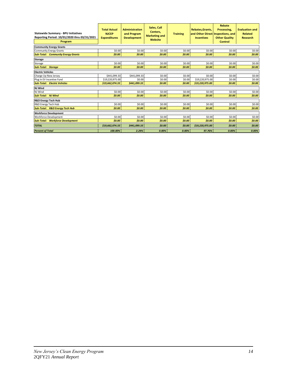| <b>Statewide Summary - BPU Initiatives</b><br>Reporting Period: 10/01/2020 thru 03/31/2021<br>Program | <b>Total Actual</b><br><b>NJCEP</b><br><b>Expenditures</b> | <b>Administration</b><br>and Program<br><b>Development</b> | Sales, Call<br>Centers,<br><b>Marketing and</b><br>Website | <b>Training</b> | <b>Rebates.Grants.</b><br>and Other Direct Inspections, and<br><b>Incentives</b> | Rebate<br>Processing.<br><b>Other Quality</b><br><b>Control</b> | <b>Evaluation and</b><br><b>Related</b><br><b>Research</b> |
|-------------------------------------------------------------------------------------------------------|------------------------------------------------------------|------------------------------------------------------------|------------------------------------------------------------|-----------------|----------------------------------------------------------------------------------|-----------------------------------------------------------------|------------------------------------------------------------|
| <b>Community Energy Grants</b>                                                                        |                                                            |                                                            |                                                            |                 |                                                                                  |                                                                 |                                                            |
| <b>Community Energy Grants</b>                                                                        | \$0.00                                                     | \$0.00                                                     | \$0.00                                                     | \$0.00          | \$0.00                                                                           | \$0.00                                                          | \$0.00                                                     |
| <b>Sub-Total: Community Energy Grants</b>                                                             | \$0.00                                                     | \$0.00                                                     | \$0.00                                                     | \$0.00          | \$0.00                                                                           | \$0.00                                                          | \$0.00                                                     |
| <b>Storage</b>                                                                                        |                                                            |                                                            |                                                            |                 |                                                                                  |                                                                 |                                                            |
| Storage                                                                                               | \$0.00                                                     | \$0.00                                                     | \$0.00                                                     | \$0.00          | \$0.00                                                                           | \$0.00                                                          | \$0.00                                                     |
| <b>Sub-Total: Storage</b>                                                                             | \$0.00                                                     | \$0.00                                                     | \$0.00                                                     | \$0.00          | \$0.00                                                                           | \$0.00                                                          | \$0.00                                                     |
| <b>Electric Vehicles</b>                                                                              |                                                            |                                                            |                                                            |                 |                                                                                  |                                                                 |                                                            |
| Charge Up New Jersey                                                                                  | \$441,099.33                                               | \$441,099.33                                               | \$0.00                                                     | \$0.00          | \$0.00                                                                           | \$0.00                                                          | \$0.00                                                     |
| Plug In EV Incentive Fund                                                                             | \$19,220,975.00                                            | \$0.00                                                     | \$0.00                                                     | \$0.00          | \$19,220,975.00                                                                  | \$0.00                                                          | \$0.00                                                     |
| <b>Sub-Total: Electric Vehicles</b>                                                                   | \$19,662,074.33                                            | \$441,099.33                                               | \$0.00                                                     | \$0.00          | \$19,220,975.00                                                                  | \$0.00                                                          | \$0.00                                                     |
| NJ Wind                                                                                               |                                                            |                                                            |                                                            |                 |                                                                                  |                                                                 |                                                            |
| NJ Wind                                                                                               | \$0.00                                                     | \$0.00                                                     | \$0.00                                                     | \$0.00          | \$0.00                                                                           | \$0.00                                                          | \$0.00                                                     |
| <b>Sub-Total: NJ Wind</b>                                                                             | \$0.00                                                     | \$0.00                                                     | \$0.00                                                     | \$0.00          | \$0.00                                                                           | \$0.00                                                          | \$0.00                                                     |
| <b>R&amp;D Energy Tech Hub</b>                                                                        |                                                            |                                                            |                                                            |                 |                                                                                  |                                                                 |                                                            |
| R&D Energy Tech Hub                                                                                   | \$0.00                                                     | \$0.00                                                     | \$0.00                                                     | \$0.00          | \$0.00                                                                           | \$0.00                                                          | \$0.00                                                     |
| <b>Sub-Total: R&amp;D Energy Tech Hub</b>                                                             | \$0.00                                                     | \$0.00                                                     | \$0.00                                                     | \$0.00          | \$0.00                                                                           | \$0.00                                                          | \$0.00                                                     |
| <b>Workforce Development</b>                                                                          |                                                            |                                                            |                                                            |                 |                                                                                  |                                                                 |                                                            |
| <b>Workforce Development</b>                                                                          | \$0.00                                                     | \$0.00                                                     | \$0.00                                                     | \$0.00          | \$0.00                                                                           | \$0.00                                                          | \$0.00                                                     |
| <b>Sub-Total: Workforce Development</b>                                                               | \$0.00                                                     | \$0.00                                                     | \$0.00                                                     | \$0.00          | \$0.00                                                                           | \$0.00                                                          | \$0.00                                                     |
| <b>TOTAL</b>                                                                                          | \$19,662,074.33                                            | \$441,099.33                                               | \$0.00                                                     | \$0.00          | \$19,220,975.00                                                                  | \$0.00                                                          | \$0.00                                                     |
| <b>Percent of Total</b>                                                                               | 100.00%                                                    | 2.24%                                                      | 0.00%                                                      | 0.00%           | 97.76%                                                                           | 0.00%                                                           | 0.00%                                                      |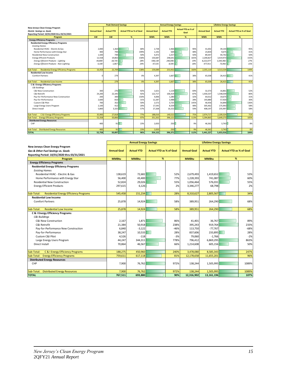|                                                             | <b>Peak Demand Savings</b> |                   |                                | <b>Annual Energy Savings</b> |                    |                   |                           |      | <b>Lifetime Energy Savings</b> |                   |                                |      |
|-------------------------------------------------------------|----------------------------|-------------------|--------------------------------|------------------------------|--------------------|-------------------|---------------------------|------|--------------------------------|-------------------|--------------------------------|------|
| New Jerseys Clean Energy Program                            |                            |                   |                                |                              |                    |                   | <b>Actual YTD as % of</b> |      |                                |                   |                                |      |
| <b>Electric Savings vs. Goals</b>                           | <b>Annual Goal</b>         | <b>Actual YTD</b> | <b>Actual YTD as % of Goal</b> |                              | <b>Annual Goal</b> | <b>Actual YTD</b> | Goal                      |      | <b>Annual Goal</b>             | <b>Actual YTD</b> | <b>Actual YTD as % of Goal</b> |      |
| Reporting Period: 10/01/2020 thru 03/31/2021                |                            |                   |                                |                              |                    |                   |                           |      |                                |                   |                                |      |
| Program                                                     | kW                         | kW                | %                              |                              | <b>MWh</b>         | <b>MWh</b>        | %                         |      | <b>MWh</b>                     | <b>MWh</b>        | %                              |      |
| <b>Energy Efficiency Programs</b>                           |                            |                   |                                |                              |                    |                   |                           |      |                                |                   |                                |      |
| <b>Residential Energy Efficiency Programs</b>               |                            |                   |                                |                              |                    |                   |                           |      |                                |                   |                                |      |
| <b>Existing Homes</b>                                       |                            |                   |                                |                              |                    |                   |                           |      |                                |                   |                                |      |
| Residential HVAC - Electric & Gas                           | 2,000                      | 1,364             |                                | 68%                          | 2,738              | 2,466             |                           | 90%  | 41,002                         | 39,144            |                                | 95%  |
| Home Performance with Energy Star                           | 400                        | 794               |                                | 199%                         | 1,192              | 569               |                           | 48%  | 23,834                         | 9.675             |                                | 41%  |
| <b>Residential New Construction</b>                         | 1,500                      | 749               |                                | 50%                          | 4,472              | 2,257             |                           | 50%  | 89,447                         | 44,742            |                                | 50%  |
| <b>Energy Efficient Products</b>                            | 12,558                     | 19.802            |                                | 158%                         | 150,687            | 248,641           |                           | 165% | 2,200,827                      | 3,419,973         |                                | 155% |
| <b>Energy Efficient Products - Lighting</b>                 | 44,800                     | 18,735            |                                | 28%                          | 548,138            | 240,046           |                           | 19%  | 8,222,077                      | 3,345,982         |                                | 27%  |
| Energy Efficient Products - Non-Lighting                    | 4,100                      | 1,067             |                                | 24%                          | 47,535             | 8,595             |                           | 18%  | 477,911                        | 73,992            |                                | 15%  |
|                                                             |                            |                   |                                |                              |                    |                   |                           |      |                                |                   |                                |      |
| <b>Residential Energy Efficiency Programs</b><br>Sub-Total: | 16,458                     | 22,709            |                                | 138%                         | 159,089            | 253,932           |                           | 160% | 2,355,110                      | 3,513,534         |                                | 149% |
| <b>Residential Low Income</b>                               |                            |                   |                                |                              |                    |                   |                           |      |                                |                   |                                |      |
| <b>Comfort Partners</b>                                     | C                          | 279               |                                | 0%                           | 4.397              | 1.667             |                           | 38%  | 65.038                         | 26.415            |                                | 41%  |
|                                                             |                            |                   |                                |                              |                    |                   |                           |      |                                |                   |                                |      |
| Sub-Total:<br><b>Residential Low Income</b>                 | $\sqrt{ }$                 | 279               |                                | 0%                           | 4,397              | 1.667             |                           | 38%  | 65.038                         | 26,415            |                                | 41%  |
| <b>C &amp; I Energy Efficiency Programs</b>                 |                            |                   |                                |                              |                    |                   |                           |      |                                |                   |                                |      |
| <b>C&amp;I Buildings</b>                                    |                            |                   |                                |                              |                    |                   |                           |      |                                |                   |                                |      |
| C&I New Construction                                        | 300                        | 276               |                                | 92%                          | 1,621              | 1,119             |                           | 69%  | 32,373                         | 16,861            |                                | 52%  |
| C&I Retrofit                                                | 24,200                     | 22,345            |                                | 92%                          | 122,717            | 106,419           |                           | 87%  | 1,930,337                      | 1,548,039         |                                | 80%  |
| Pay-for-Performance New Construction                        | 200                        | 300               |                                | 150%                         | 4,006              | 1,280             |                           | 32%  | 64,012                         | 19,675            |                                | 31%  |
| Pay-for-Performance                                         | 2,600                      | 810               |                                | 31%                          | 12,287             | 3,488             |                           | 28%  | 193,880                        | 57,920            |                                | 30%  |
| Custom C&I Pilot                                            | 700                        | 352               |                                | 50%                          | 2.572              | 3,725             |                           | 145% | 40,456                         | 54,890            |                                | 136% |
| Large Energy Users Program                                  | 2,100                      | 412               |                                | 20%                          | 17,545             | 8,339             |                           | 48%  | 305,462                        | 175,943           |                                | 58%  |
| Direct Install                                              | 5,800                      | 3.325             |                                | 57%                          | 27,268             | 16,152            |                           | 59%  | 408,197                        | 235,997           |                                | 58%  |
|                                                             |                            |                   |                                |                              |                    |                   |                           |      |                                |                   |                                |      |
| C & I Energy Efficiency Programs<br>Sub-Total:              | 35,900                     | 27,818            |                                | 77%                          | 188,016            | 140.522           |                           | 75%  | 2.974.717                      | 2.109.324         |                                | 71%  |
| <b>Energy Efficiency Programs</b><br>Sub-Total:             | 52,358                     | 50,806            |                                | 97%                          | 351,502            | 396,121           |                           | 113% | 5,394,865                      | 5,649,273         |                                | 105% |
| <b>Distributed Energy Resources</b>                         |                            |                   |                                |                              |                    |                   |                           |      |                                |                   |                                |      |
| CHP                                                         | 400                        | 91                |                                | 23%                          | 2,650              | 250               |                           | 9%   | 46.362                         | 3,743             |                                | 8%   |
| <b>Distributed Energy Resources</b><br>Sub-Total:           | 400                        | 91                |                                | 23%                          | 2,650              | 250               |                           | 9%   | 46,362                         | 3,743             |                                | 8%   |
| <b>TOTAL</b>                                                | 52.758                     | 50.897            |                                | 96%                          | 354,152            | 396,371           |                           | 112% | 5.441.227                      | 5,653,016         |                                | 104% |

|                                                             |                    | <b>Annual Energy Savings</b> |                                |        |                                         | <b>Lifetime Energy Savings</b> |                                |        |  |
|-------------------------------------------------------------|--------------------|------------------------------|--------------------------------|--------|-----------------------------------------|--------------------------------|--------------------------------|--------|--|
| New Jerseys Clean Energy Program                            |                    |                              |                                |        |                                         |                                |                                |        |  |
| <b>Gas &amp; Other Fuel Savinas vs. Goals</b>               | <b>Annual Goal</b> | <b>Actual YTD</b>            | <b>Actual YTD as % of Goal</b> |        | <b>Annual Goal</b><br><b>Actual YTD</b> |                                | <b>Actual YTD as % of Goal</b> |        |  |
| Reporting Period: 10/01/2020 thru 03/31/2021                |                    |                              |                                |        |                                         |                                |                                |        |  |
| Program                                                     | <b>MMBtu</b>       | <b>MMBtu</b>                 | %                              |        | <b>MMBtu</b>                            | <b>MMBtu</b>                   | %                              |        |  |
| <b>Energy Efficiency Programs</b>                           |                    |                              |                                |        |                                         |                                |                                |        |  |
| <b>Residential Energy Efficiency Programs</b>               |                    |                              |                                |        |                                         |                                |                                |        |  |
| <b>Existing Homes</b>                                       |                    |                              |                                |        |                                         |                                |                                |        |  |
| Residential HVAC - Electric & Gas                           | 138,619            | 72,682                       |                                | 52%    | 2,679,493                               | 1,419,652                      |                                | 53%    |  |
| Home Performance with Energy Star                           | 56,400             | 43,400                       |                                | 77%    | 1,228,393                               | 741,087                        |                                | 60%    |  |
| <b>Residential New Construction</b>                         | 52,824             | 29,026                       |                                | 55%    | 1,056,464                               | 576,031                        |                                | 55%    |  |
| <b>Energy Efficient Products</b>                            | 297,615            | 6,126                        |                                | 2%     | 3,346,277                               | 68,798                         |                                | 2%     |  |
|                                                             |                    |                              |                                |        |                                         |                                |                                |        |  |
| <b>Residential Energy Efficiency Programs</b><br>Sub-Total: | 545,458            | 151,234                      |                                | 28%    | 8,310,627                               | 2,805,567                      |                                | 34%    |  |
| <b>Residential Low Income</b>                               |                    |                              |                                |        |                                         |                                |                                |        |  |
| <b>Comfort Partners</b>                                     | 25,878             | 14,924                       |                                | 58%    | 389,951                                 | 264,290                        |                                | 68%    |  |
|                                                             |                    |                              |                                |        |                                         |                                |                                |        |  |
| <b>Residential Low Income</b><br>Sub-Total:                 | 25,878             | 14,924                       |                                | 58%    | 389,951                                 | 264,290                        |                                | 68%    |  |
| <b>C &amp; I Energy Efficiency Programs</b>                 |                    |                              |                                |        |                                         |                                |                                |        |  |
| C&I Buildings                                               |                    |                              |                                |        |                                         |                                |                                |        |  |
| C&I New Construction                                        | 2,167              | 1,871                        |                                | 86%    | 41,401                                  | 36,767                         |                                | 89%    |  |
| C&I Retrofit                                                | 21,384             | 50,918                       |                                | 238%   | 395,243                                 | 919,764                        |                                | 233%   |  |
| Pay-for-Performance New Construction                        | 6,840              | $-3,122$                     |                                | $-46%$ | 113,750                                 | $-77,767$                      |                                | $-68%$ |  |
| Pay-for-Performance                                         | 38,247             | 10,533                       |                                | 28%    | 837,606                                 | 233,895                        |                                | 28%    |  |
| Custom C&I Pilot                                            | 4,526              | $-118$                       |                                | $-3%$  | 79,060                                  | $-1,766$                       |                                | $-2%$  |  |
| Large Energy Users Program                                  | 44,247             | 344,311                      |                                | 778%   | 796,412                                 | 6,869,295                      |                                | 863%   |  |
| <b>Direct Install</b>                                       | 70,864             | 46,567                       |                                | 66%    | 1,214,608                               | 605,156                        |                                | 50%    |  |
|                                                             |                    |                              |                                |        |                                         |                                |                                |        |  |
| C & I Energy Efficiency Programs<br>Sub-Total:              | 188,275            | 450,960                      |                                | 240%   | 3,478,080                               | 8,585,343                      |                                | 247%   |  |
| Sub-Total: Energy Efficiency Programs                       | 759,611            | 617,118                      |                                | 81%    | 12,178,658                              | 11,655,201                     |                                | 96%    |  |
| <b>Distributed Energy Resources</b>                         |                    |                              |                                |        |                                         |                                |                                |        |  |
| CHP                                                         | 7,900              | 76,762                       |                                | 972%   | 138,244                                 | 1,505,995                      |                                | 1089%  |  |
|                                                             |                    |                              |                                |        |                                         |                                |                                |        |  |
| Sub-Total: Distributed Energy Resources                     | 7,900              | 76,762                       |                                | 972%   | 138,244                                 | 1,505,995                      |                                | 1089%  |  |
| <b>TOTAL</b>                                                | 767,511            | 693,880                      |                                | 90%    | 12,316,902                              | 13, 161, 196                   |                                | 107%   |  |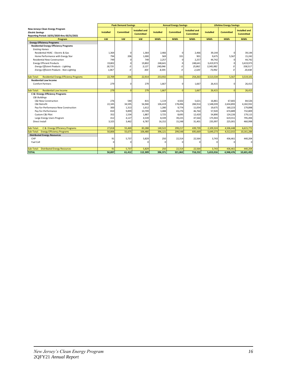|                                                             |                  | <b>Peak Demand Savings</b> |                      |                  | <b>Annual Energy Savings</b> |                      |                     | <b>Lifetime Energy Savings</b> |                      |
|-------------------------------------------------------------|------------------|----------------------------|----------------------|------------------|------------------------------|----------------------|---------------------|--------------------------------|----------------------|
| New Jerseys Clean Energy Program                            |                  |                            | <b>Installed and</b> |                  |                              | <b>Installed and</b> |                     |                                | <b>Installed and</b> |
| <b>Electric Savings</b>                                     | <b>Installed</b> | <b>Committed</b>           | <b>Committed</b>     | <b>Installed</b> | <b>Committed</b>             | <b>Committed</b>     | <b>Installed</b>    | <b>Committed</b>               | <b>Committed</b>     |
| Reporting Period: 10/01/2020 thru 03/31/2021                |                  | kw                         |                      |                  |                              |                      |                     |                                |                      |
| Program<br><b>Energy Efficiency Programs</b>                | kW               |                            | kw                   | <b>MWh</b>       | <b>MWh</b>                   | <b>MWh</b>           | <b>MWh</b>          | <b>MWh</b>                     | <b>MWh</b>           |
| <b>Residential Energy Efficiency Programs</b>               |                  |                            |                      |                  |                              |                      |                     |                                |                      |
| <b>Existing Homes</b>                                       |                  |                            |                      |                  |                              |                      |                     |                                |                      |
| Residential HVAC - Electric & Gas                           | 1,364            | 0                          | 1,364                | 2,466            | n                            | 2,466                | 39,144              | $\Omega$                       | 39,144               |
| Home Performance with Energy Star                           | 794              | 206                        | 1,000                | 569              | 331                          | 901                  | 9,675               | 5,567                          | 15,242               |
| <b>Residential New Construction</b>                         | 749              | $\Omega$                   | 749                  | 2,257            | $\Omega$                     | 2,257                | 44,742              | 0                              | 44,742               |
| <b>Energy Efficient Products</b>                            | 19,802           | $\Omega$                   | 19,802               | 248,641          |                              | 248,641              | 3,419,973           | 0                              | 3,419,973            |
| Energy Efficient Products - Lighting                        | 18,735           | 0                          | 3,127                | 240,046          | 0                            | 25,862               | 3,345,982           | $\Omega$                       | 558,517              |
| Energy Efficient Products - Non-Lighting                    | 1.067            | 0                          | 303                  | 8,595            | $\Omega$                     | 2,320                | 73,992              | $\Omega$                       | 20,438               |
|                                                             |                  |                            |                      |                  |                              |                      |                     |                                |                      |
| <b>Residential Energy Efficiency Programs</b><br>Sub-Total: | 22,709           | 206                        | 22,914               | 253,932          | 331                          | 254,263              | 3,513,534           | 5,567                          | 3,519,101            |
| <b>Residential Low Income</b>                               |                  |                            |                      |                  |                              |                      |                     |                                |                      |
| <b>Comfort Partners</b>                                     | 279              | $\Omega$                   | 279                  | 1,667            |                              | 1,667                | 26,415              | $\Omega$                       | 26,415               |
|                                                             |                  |                            |                      |                  |                              |                      |                     |                                |                      |
| <b>Residential Low Income</b><br>Sub-Total:                 | 279              | $\Omega$                   | 279                  | 1,667            | $\Omega$                     | 1,667                | 26,415              | $\Omega$                       | 26,415               |
| C & I Energy Efficiency Programs                            |                  |                            |                      |                  |                              |                      |                     |                                |                      |
| <b>C&amp;I Buildinas</b><br>C&I New Construction            | 276              | 540                        | 815                  |                  | 4,502                        |                      |                     |                                |                      |
| C&I Retrofit                                                | 22,345           | 34,595                     | 56,940               | 1,119            |                              | 5,621                | 16,861<br>1,548,039 | 67,665<br>2,634,893            | 84,526<br>4,182,932  |
| Pay-for-Performance New Construction                        | 300              | 1,313                      | 1,612                | 106,419<br>1,280 | 178,496<br>9,774             | 284,914<br>11,054    | 19,675              | 160,223                        | 179,898              |
| Pay-for-Performance                                         | 810              | 9,899                      | 10,709               | 3,488            | 43,276                       | 46,764               | 57,920              | 674,889                        | 732,809              |
| Custom C&I Pilot                                            | 352              | 1,534                      | 1,887                | 3,725            | 8,695                        | 12,420               | 54,890              | 124,226                        | 179,115              |
| Large Energy Users Program                                  | 412              | 4,127                      | 4,539                | 8,339            | 39,225                       | 47,564               | 175,943             | 619,551                        | 795,494              |
| Direct Install                                              | 3,325            | 3,462                      | 6,787                | 16,152           | 15,248                       | 31,401               | 235,997             | 225,001                        | 460,998              |
|                                                             |                  |                            |                      |                  |                              |                      |                     |                                |                      |
| C & I Energy Efficiency Programs<br>Sub-Total:              | 27,818           | 55,469                     | 83,288               | 140,522          | 299,217                      | 439,739              | 2,109,324           | 4,506,448                      | 6,615,772            |
| <b>Energy Efficiency Programs</b><br>Sub-Total:             | 50,806           | 55,675                     | 106,480              | 396,121          | 299,548                      | 695,669              | 5,649,273           | 4,512,015                      | 10,161,288           |
| <b>Distributed Energy Resources</b>                         |                  |                            |                      |                  |                              |                      |                     |                                |                      |
| CHP                                                         | 91               | 5,737                      | 5,829                | 250              | 22,314                       | 22,564               | 3,743               | 436,461                        | 440,204              |
| Fuel Cell                                                   | 0                | $\Omega$                   | $\Omega$             | $\Omega$         |                              | $\Omega$             |                     |                                | $\mathbf 0$          |
|                                                             |                  |                            |                      |                  |                              |                      |                     |                                |                      |
| Sub-Total:<br><b>Distributed Energy Resources</b>           | 91               | 5,737                      | 5,829                | 250              | 22,314                       | 22,564               | 3,743               | 436,461                        | 440,204              |
| <b>TOTAL</b>                                                | 50,897           | 61,412                     | 112,309              | 396,371          | 321,862                      | 718,232              | 5,653,016           | 4,948,476                      | 10,601,492           |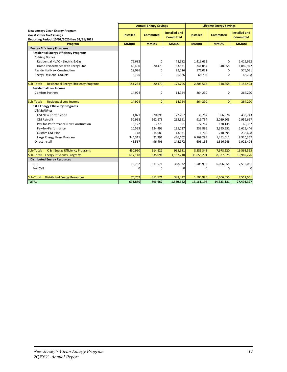| <b>Installed and</b><br><b>Installed and</b><br><b>Installed</b><br><b>Committed</b><br><b>Installed</b><br><b>Committed</b><br><b>Committed</b><br><b>Committed</b><br>Reporting Period: 10/01/2020 thru 03/31/2021<br><b>MMBtu</b><br><b>MMBtu</b><br><b>MMBtu</b><br><b>MMBtu</b><br><b>MMBtu</b><br><b>MMBtu</b><br>Program<br><b>Energy Efficiency Programs</b><br><b>Residential Energy Efficiency Programs</b><br><b>Existing Homes</b><br>Residential HVAC - Electric & Gas<br>72,682<br>72.682<br>1,419,652<br>0<br>$\Omega$<br>20,470<br>348,855<br>Home Performance with Energy Star<br>43,400<br>63,871<br>741,087<br>29,026<br>576,031<br><b>Residential New Construction</b><br>29,026<br>0<br>0<br><b>Energy Efficient Products</b><br>6,126<br>0<br>6,126<br>68,798<br>$\Omega$<br><b>Residential Energy Efficiency Programs</b><br>151,234<br>20,470<br>171,705<br>2,805,567<br>348,855<br>3,154,423<br><b>Residential Low Income</b><br><b>Comfort Partners</b><br>14,924<br>0<br>14,924<br>264,290<br>$\Omega$<br><b>Residential Low Income</b><br>$\overline{0}$<br>14,924<br>14,924<br>264,290<br>$\Omega$<br><b>C &amp; I Energy Efficiency Programs</b><br>C&I Buildings<br><b>C&amp;I New Construction</b><br>22,767<br>1,871<br>20,896<br>36,767<br>396,976<br>C&I Retrofit<br>50,918<br>162,673<br>213,591<br>919,764<br>2,039,903<br>3,773<br>651<br>Pay-for-Performance New Construction<br>$-3,122$<br>$-77,767$<br>138,135<br>135,027<br>Pay-for-Performance<br>10,533<br>124,493<br>233,895<br>2,395,551<br>Custom C&I Pilot<br>$-1,766$<br>$-118$<br>14,089<br>13,971<br>240,395<br>Large Energy Users Program<br>344,311<br>92,291<br>436,602<br>6,869,295<br>1,451,012<br>Direct Install<br>1,921,404<br>46,567<br>96,406<br>142,972<br>605,156<br>1,316,248<br>965,581<br>C & I Energy Efficiency Programs<br>450,960<br>514,621<br>8,585,343<br>7,978,220<br>16,563,563<br>Sub-Total: Energy Efficiency Programs<br>617,118<br>535,091<br>1,152,210<br>11,655,201<br>8,327,075<br>19,982,276<br><b>Distributed Energy Resources</b><br>CHP<br>76,762<br>311,571<br>388,332<br>1,505,995<br>6,006,055<br>7,512,051 |                                                                         | <b>Annual Energy Savings</b> |  | <b>Lifetime Energy Savings</b> |  |  |
|-------------------------------------------------------------------------------------------------------------------------------------------------------------------------------------------------------------------------------------------------------------------------------------------------------------------------------------------------------------------------------------------------------------------------------------------------------------------------------------------------------------------------------------------------------------------------------------------------------------------------------------------------------------------------------------------------------------------------------------------------------------------------------------------------------------------------------------------------------------------------------------------------------------------------------------------------------------------------------------------------------------------------------------------------------------------------------------------------------------------------------------------------------------------------------------------------------------------------------------------------------------------------------------------------------------------------------------------------------------------------------------------------------------------------------------------------------------------------------------------------------------------------------------------------------------------------------------------------------------------------------------------------------------------------------------------------------------------------------------------------------------------------------------------------------------------------------------------------------------------------------------------------------------------------------------------------------------------------------------------------------------------------------------------------------------------------------------------------------------------------------------------------------|-------------------------------------------------------------------------|------------------------------|--|--------------------------------|--|--|
|                                                                                                                                                                                                                                                                                                                                                                                                                                                                                                                                                                                                                                                                                                                                                                                                                                                                                                                                                                                                                                                                                                                                                                                                                                                                                                                                                                                                                                                                                                                                                                                                                                                                                                                                                                                                                                                                                                                                                                                                                                                                                                                                                       | New Jerseys Clean Energy Program<br><b>Gas &amp; Other Fuel Savings</b> |                              |  |                                |  |  |
| 1,419,652<br>1,089,942<br>576,031<br>68,798<br>264,290<br>264,290<br>433,743<br>2,959,667<br>60,367<br>2,629,446<br>238,628<br>8,320,307                                                                                                                                                                                                                                                                                                                                                                                                                                                                                                                                                                                                                                                                                                                                                                                                                                                                                                                                                                                                                                                                                                                                                                                                                                                                                                                                                                                                                                                                                                                                                                                                                                                                                                                                                                                                                                                                                                                                                                                                              |                                                                         |                              |  |                                |  |  |
|                                                                                                                                                                                                                                                                                                                                                                                                                                                                                                                                                                                                                                                                                                                                                                                                                                                                                                                                                                                                                                                                                                                                                                                                                                                                                                                                                                                                                                                                                                                                                                                                                                                                                                                                                                                                                                                                                                                                                                                                                                                                                                                                                       |                                                                         |                              |  |                                |  |  |
|                                                                                                                                                                                                                                                                                                                                                                                                                                                                                                                                                                                                                                                                                                                                                                                                                                                                                                                                                                                                                                                                                                                                                                                                                                                                                                                                                                                                                                                                                                                                                                                                                                                                                                                                                                                                                                                                                                                                                                                                                                                                                                                                                       |                                                                         |                              |  |                                |  |  |
|                                                                                                                                                                                                                                                                                                                                                                                                                                                                                                                                                                                                                                                                                                                                                                                                                                                                                                                                                                                                                                                                                                                                                                                                                                                                                                                                                                                                                                                                                                                                                                                                                                                                                                                                                                                                                                                                                                                                                                                                                                                                                                                                                       |                                                                         |                              |  |                                |  |  |
|                                                                                                                                                                                                                                                                                                                                                                                                                                                                                                                                                                                                                                                                                                                                                                                                                                                                                                                                                                                                                                                                                                                                                                                                                                                                                                                                                                                                                                                                                                                                                                                                                                                                                                                                                                                                                                                                                                                                                                                                                                                                                                                                                       |                                                                         |                              |  |                                |  |  |
|                                                                                                                                                                                                                                                                                                                                                                                                                                                                                                                                                                                                                                                                                                                                                                                                                                                                                                                                                                                                                                                                                                                                                                                                                                                                                                                                                                                                                                                                                                                                                                                                                                                                                                                                                                                                                                                                                                                                                                                                                                                                                                                                                       |                                                                         |                              |  |                                |  |  |
|                                                                                                                                                                                                                                                                                                                                                                                                                                                                                                                                                                                                                                                                                                                                                                                                                                                                                                                                                                                                                                                                                                                                                                                                                                                                                                                                                                                                                                                                                                                                                                                                                                                                                                                                                                                                                                                                                                                                                                                                                                                                                                                                                       |                                                                         |                              |  |                                |  |  |
|                                                                                                                                                                                                                                                                                                                                                                                                                                                                                                                                                                                                                                                                                                                                                                                                                                                                                                                                                                                                                                                                                                                                                                                                                                                                                                                                                                                                                                                                                                                                                                                                                                                                                                                                                                                                                                                                                                                                                                                                                                                                                                                                                       |                                                                         |                              |  |                                |  |  |
|                                                                                                                                                                                                                                                                                                                                                                                                                                                                                                                                                                                                                                                                                                                                                                                                                                                                                                                                                                                                                                                                                                                                                                                                                                                                                                                                                                                                                                                                                                                                                                                                                                                                                                                                                                                                                                                                                                                                                                                                                                                                                                                                                       |                                                                         |                              |  |                                |  |  |
|                                                                                                                                                                                                                                                                                                                                                                                                                                                                                                                                                                                                                                                                                                                                                                                                                                                                                                                                                                                                                                                                                                                                                                                                                                                                                                                                                                                                                                                                                                                                                                                                                                                                                                                                                                                                                                                                                                                                                                                                                                                                                                                                                       | Sub-Total:                                                              |                              |  |                                |  |  |
|                                                                                                                                                                                                                                                                                                                                                                                                                                                                                                                                                                                                                                                                                                                                                                                                                                                                                                                                                                                                                                                                                                                                                                                                                                                                                                                                                                                                                                                                                                                                                                                                                                                                                                                                                                                                                                                                                                                                                                                                                                                                                                                                                       |                                                                         |                              |  |                                |  |  |
|                                                                                                                                                                                                                                                                                                                                                                                                                                                                                                                                                                                                                                                                                                                                                                                                                                                                                                                                                                                                                                                                                                                                                                                                                                                                                                                                                                                                                                                                                                                                                                                                                                                                                                                                                                                                                                                                                                                                                                                                                                                                                                                                                       |                                                                         |                              |  |                                |  |  |
|                                                                                                                                                                                                                                                                                                                                                                                                                                                                                                                                                                                                                                                                                                                                                                                                                                                                                                                                                                                                                                                                                                                                                                                                                                                                                                                                                                                                                                                                                                                                                                                                                                                                                                                                                                                                                                                                                                                                                                                                                                                                                                                                                       |                                                                         |                              |  |                                |  |  |
|                                                                                                                                                                                                                                                                                                                                                                                                                                                                                                                                                                                                                                                                                                                                                                                                                                                                                                                                                                                                                                                                                                                                                                                                                                                                                                                                                                                                                                                                                                                                                                                                                                                                                                                                                                                                                                                                                                                                                                                                                                                                                                                                                       | Sub-Total:                                                              |                              |  |                                |  |  |
|                                                                                                                                                                                                                                                                                                                                                                                                                                                                                                                                                                                                                                                                                                                                                                                                                                                                                                                                                                                                                                                                                                                                                                                                                                                                                                                                                                                                                                                                                                                                                                                                                                                                                                                                                                                                                                                                                                                                                                                                                                                                                                                                                       |                                                                         |                              |  |                                |  |  |
|                                                                                                                                                                                                                                                                                                                                                                                                                                                                                                                                                                                                                                                                                                                                                                                                                                                                                                                                                                                                                                                                                                                                                                                                                                                                                                                                                                                                                                                                                                                                                                                                                                                                                                                                                                                                                                                                                                                                                                                                                                                                                                                                                       |                                                                         |                              |  |                                |  |  |
|                                                                                                                                                                                                                                                                                                                                                                                                                                                                                                                                                                                                                                                                                                                                                                                                                                                                                                                                                                                                                                                                                                                                                                                                                                                                                                                                                                                                                                                                                                                                                                                                                                                                                                                                                                                                                                                                                                                                                                                                                                                                                                                                                       |                                                                         |                              |  |                                |  |  |
|                                                                                                                                                                                                                                                                                                                                                                                                                                                                                                                                                                                                                                                                                                                                                                                                                                                                                                                                                                                                                                                                                                                                                                                                                                                                                                                                                                                                                                                                                                                                                                                                                                                                                                                                                                                                                                                                                                                                                                                                                                                                                                                                                       |                                                                         |                              |  |                                |  |  |
|                                                                                                                                                                                                                                                                                                                                                                                                                                                                                                                                                                                                                                                                                                                                                                                                                                                                                                                                                                                                                                                                                                                                                                                                                                                                                                                                                                                                                                                                                                                                                                                                                                                                                                                                                                                                                                                                                                                                                                                                                                                                                                                                                       |                                                                         |                              |  |                                |  |  |
|                                                                                                                                                                                                                                                                                                                                                                                                                                                                                                                                                                                                                                                                                                                                                                                                                                                                                                                                                                                                                                                                                                                                                                                                                                                                                                                                                                                                                                                                                                                                                                                                                                                                                                                                                                                                                                                                                                                                                                                                                                                                                                                                                       |                                                                         |                              |  |                                |  |  |
|                                                                                                                                                                                                                                                                                                                                                                                                                                                                                                                                                                                                                                                                                                                                                                                                                                                                                                                                                                                                                                                                                                                                                                                                                                                                                                                                                                                                                                                                                                                                                                                                                                                                                                                                                                                                                                                                                                                                                                                                                                                                                                                                                       |                                                                         |                              |  |                                |  |  |
|                                                                                                                                                                                                                                                                                                                                                                                                                                                                                                                                                                                                                                                                                                                                                                                                                                                                                                                                                                                                                                                                                                                                                                                                                                                                                                                                                                                                                                                                                                                                                                                                                                                                                                                                                                                                                                                                                                                                                                                                                                                                                                                                                       |                                                                         |                              |  |                                |  |  |
|                                                                                                                                                                                                                                                                                                                                                                                                                                                                                                                                                                                                                                                                                                                                                                                                                                                                                                                                                                                                                                                                                                                                                                                                                                                                                                                                                                                                                                                                                                                                                                                                                                                                                                                                                                                                                                                                                                                                                                                                                                                                                                                                                       |                                                                         |                              |  |                                |  |  |
|                                                                                                                                                                                                                                                                                                                                                                                                                                                                                                                                                                                                                                                                                                                                                                                                                                                                                                                                                                                                                                                                                                                                                                                                                                                                                                                                                                                                                                                                                                                                                                                                                                                                                                                                                                                                                                                                                                                                                                                                                                                                                                                                                       |                                                                         |                              |  |                                |  |  |
|                                                                                                                                                                                                                                                                                                                                                                                                                                                                                                                                                                                                                                                                                                                                                                                                                                                                                                                                                                                                                                                                                                                                                                                                                                                                                                                                                                                                                                                                                                                                                                                                                                                                                                                                                                                                                                                                                                                                                                                                                                                                                                                                                       | Sub-Total:                                                              |                              |  |                                |  |  |
|                                                                                                                                                                                                                                                                                                                                                                                                                                                                                                                                                                                                                                                                                                                                                                                                                                                                                                                                                                                                                                                                                                                                                                                                                                                                                                                                                                                                                                                                                                                                                                                                                                                                                                                                                                                                                                                                                                                                                                                                                                                                                                                                                       |                                                                         |                              |  |                                |  |  |
|                                                                                                                                                                                                                                                                                                                                                                                                                                                                                                                                                                                                                                                                                                                                                                                                                                                                                                                                                                                                                                                                                                                                                                                                                                                                                                                                                                                                                                                                                                                                                                                                                                                                                                                                                                                                                                                                                                                                                                                                                                                                                                                                                       |                                                                         |                              |  |                                |  |  |
|                                                                                                                                                                                                                                                                                                                                                                                                                                                                                                                                                                                                                                                                                                                                                                                                                                                                                                                                                                                                                                                                                                                                                                                                                                                                                                                                                                                                                                                                                                                                                                                                                                                                                                                                                                                                                                                                                                                                                                                                                                                                                                                                                       |                                                                         |                              |  |                                |  |  |
| Fuel Cell<br>$\Omega$<br>$\mathbf{0}$<br>0<br>0<br>0                                                                                                                                                                                                                                                                                                                                                                                                                                                                                                                                                                                                                                                                                                                                                                                                                                                                                                                                                                                                                                                                                                                                                                                                                                                                                                                                                                                                                                                                                                                                                                                                                                                                                                                                                                                                                                                                                                                                                                                                                                                                                                  |                                                                         |                              |  |                                |  |  |
|                                                                                                                                                                                                                                                                                                                                                                                                                                                                                                                                                                                                                                                                                                                                                                                                                                                                                                                                                                                                                                                                                                                                                                                                                                                                                                                                                                                                                                                                                                                                                                                                                                                                                                                                                                                                                                                                                                                                                                                                                                                                                                                                                       |                                                                         |                              |  |                                |  |  |
| 76,762<br>311,571<br>388,332<br>1,505,995<br>6,006,055<br>7,512,051<br><b>Distributed Energy Resources</b><br>693,880<br>846,662<br>1,540,542<br>13,161,196<br>14,333,131<br>27,494,327                                                                                                                                                                                                                                                                                                                                                                                                                                                                                                                                                                                                                                                                                                                                                                                                                                                                                                                                                                                                                                                                                                                                                                                                                                                                                                                                                                                                                                                                                                                                                                                                                                                                                                                                                                                                                                                                                                                                                               | Sub-Total:<br><b>TOTAL</b>                                              |                              |  |                                |  |  |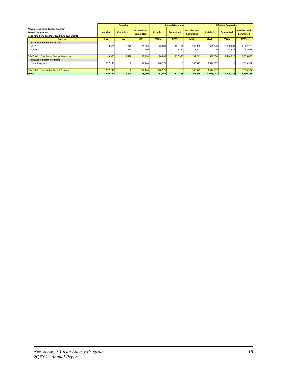|                                                                                                                |                  | <b>Capacity</b>  |                                   |                  | <b>Annual Generation</b> |                                   |                  | <b>Lifetime Generation</b> |                                   |
|----------------------------------------------------------------------------------------------------------------|------------------|------------------|-----------------------------------|------------------|--------------------------|-----------------------------------|------------------|----------------------------|-----------------------------------|
| New Jerseys Clean Energy Program<br><b>Electric Generation</b><br>Reporting Period: 10/01/2020 thru 03/31/2021 | <b>Installed</b> | <b>Committed</b> | Installed and<br><b>Committed</b> | <b>Installed</b> | <b>Committed</b>         | Installed and<br><b>Committed</b> | <b>Installed</b> | <b>Committed</b>           | Installed and<br><b>Committed</b> |
| Program                                                                                                        | kW               | kW               | kW                                | <b>MWh</b>       | <b>MWh</b>               | <b>MWh</b>                        | <b>MWh</b>       | <b>MWh</b>                 | <b>MWh</b>                        |
| <b>Distributed Energy Resources</b><br>CHP<br>Fuel Cell                                                        | 3,586            | 16,778<br>750    | 20,364<br>750                     | 26,889           | 121,111<br>6,242         | 148,000<br>6,242                  | 531,670          | 2,350,603<br>93,623        | 2,882,273<br>93,623               |
| Sub-Total: Distributed Energy Resources                                                                        | 3,586            | 17,528           | 21,114                            | 26,889           | 127,353                  | 154,241                           | 531,670          | 2,444,226                  | 2,975,896                         |
| <b>Renewable Energy Programs</b><br>Solar Programs                                                             | 117,146          | οı               | 117,146                           | 140,575          |                          | 140,575                           | 3,514,377        | $\Omega$                   | 3,514,377                         |
| Sub-Total: Renewable Energy Programs                                                                           | 117,146          |                  | 117,146                           | 140,575          |                          | 140,575                           | 3,514,377        |                            | 3,514,377                         |
| <b>TOTAL</b>                                                                                                   | 120,732          | 17,528           | 138,260                           | 167,464          | 127,353                  | 294,816                           | 4,046,047        | 2,444,226                  | 6,490,273                         |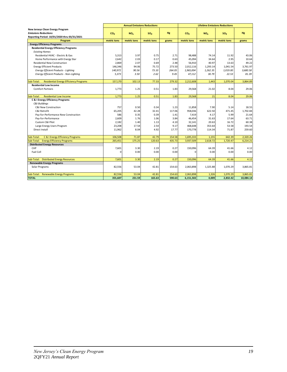|                                                                                        |                 | <b>Annual Emissions Reductions</b> |                 |           | <b>Lifetime Emissions Reductions</b> |             |                 |           |
|----------------------------------------------------------------------------------------|-----------------|------------------------------------|-----------------|-----------|--------------------------------------|-------------|-----------------|-----------|
| New Jerseys Clean Energy Program                                                       |                 |                                    |                 |           |                                      |             |                 |           |
| <b>Emissions Reductions</b>                                                            | CO <sub>2</sub> | NO <sub>v</sub>                    | SO <sub>2</sub> | <b>Hg</b> | CO <sub>2</sub>                      | $NO_x$      | SO <sub>2</sub> | Hg        |
| Reporting Period: 10/01/2020 thru 03/31/2021<br>Program                                | metric tons     | metric tons                        | metric tons     | grams     | metric tons                          | metric tons | metric tons     | grams     |
| <b>Energy Efficiency Programs</b>                                                      |                 |                                    |                 |           |                                      |             |                 |           |
| <b>Residential Energy Efficiency Programs</b>                                          |                 |                                    |                 |           |                                      |             |                 |           |
| <b>Existing Homes</b>                                                                  |                 |                                    |                 |           |                                      |             |                 |           |
| Residential HVAC - Electric & Gas                                                      | 5,313           | 3.97                               | 0.75            | 2.71      | 98,488                               | 74.14       | 11.92           | 43.06     |
| Home Performance with Energy Star                                                      | 2,642           | 2.03                               | 0.17            | 0.63      | 45,094                               | 34.64       | 2.95            | 10.64     |
| <b>Residential New Construction</b>                                                    | 2,869           | 2.07                               | 0.69            | 2.48      | 56,910                               | 40.97       | 13.63           | 49.22     |
| <b>Energy Efficient Products</b>                                                       | 146,346         | 94.06                              | 75.72           | 273.50    | 2,012,116                            | 1,293.14    | 1,041.54        | 3,761.97  |
| <b>Energy Efficient Products - Lighting</b>                                            | 140,972         | 90.56                              | 73.10           | 264.05    | 1,965,004                            | 1,262.35    | 1,019.00        | 3,680.58  |
| Energy Efficient Products - Non-Lighting                                               | 5,373           | 3.50                               | 2.62            | 9.45      | 47,112                               | 30.79       | 22.53           | 81.39     |
|                                                                                        |                 |                                    |                 |           |                                      |             |                 |           |
| <b>Residential Energy Efficiency Programs</b><br>Sub-Total:                            | 157,170         | 102.13                             | 77.33           | 279.32    | 2,212,608                            | 1,443       | 1,070.04        | 3,864.89  |
| <b>Residential Low Income</b>                                                          |                 |                                    |                 |           |                                      |             |                 |           |
| <b>Comfort Partners</b>                                                                | 1,773           | 1.25                               | 0.51            | 1.83      | 29,568                               | 21.02       | 8.04            | 29.06     |
| <b>Residential Low Income</b><br>Sub-Total:                                            | 1,773           | 1.25                               | 0.51            | 1.83      | 29,568                               | 21          | 8.04            | 29.06     |
| <b>C &amp; I Energy Efficiency Programs</b>                                            |                 |                                    |                 |           |                                      |             |                 |           |
| <b>C&amp;I Buildings</b>                                                               |                 |                                    |                 |           |                                      |             |                 |           |
| C&I New Construction                                                                   | 757             | 0.50                               | 0.34            | 1.23      | 11,858                               | 7.90        | 5.14            | 18.55     |
| C&I Retrofit                                                                           | 65,205          | 42.28                              | 32.41           | 117.06    | 958,036                              | 622.50      | 471.45          | 1,702.84  |
| Pay-for-Performance New Construction                                                   | 586             | 0.35                               | 0.39            | 1.41      | 7,419                                | 4.17        | 5.99            | 21.64     |
| Pay-for-Performance                                                                    | 2,609           | 1.76                               | 1.06            | 3.84      | 46,454                               | 31.63       | 17.64           | 63.71     |
| Custom C&I Pilot                                                                       | 2,182           | 1.40                               | 1.13            | 4.10      | 32,141                               | 20.63       | 16.72           | 60.38     |
| Large Energy Users Program                                                             | 23,208          | 17.54                              | 2.54            | 9.17      | 468,648                              | 353.64      | 53.58           | 193.54    |
| Direct Install                                                                         | 11,962          | 8.04                               | 4.92            | 17.77     | 170,778                              | 114.34      | 71.87           | 259.60    |
|                                                                                        |                 |                                    |                 |           |                                      |             |                 |           |
| C & I Energy Efficiency Programs<br>Sub-Total:                                         | 106,508         | 71.87<br>175.25                    | 42.79           | 154.58    | 1,695,333                            | 1,155       | 642.39          | 2,320.26  |
| <b>Energy Efficiency Programs</b><br>Sub-Total:<br><b>Distributed Energy Resources</b> | 265,451         |                                    | 120.63          | 435.73    | 3,937,509                            | 2,618.72    | 1,720.47        | 6,214.21  |
| CHP                                                                                    | 7,601           | 3.30                               | 2.19            | 0.27      | 150,096                              | 64.39       | 41.66           | 4.12      |
| Fuel Cell                                                                              | $\Omega$        | 0.00                               | 0.00            | 0.00      | $\Omega$                             | 0.00        | 0.00            | 0.00      |
|                                                                                        |                 |                                    |                 |           |                                      |             |                 |           |
| Sub-Total: Distributed Energy Resources                                                | 7.601           | 3.30                               | 2.19            | 0.27      | 150,096                              | 64.39       | 41.66           | 4.12      |
| <b>Renewable Energy Programs</b>                                                       |                 |                                    |                 |           |                                      |             |                 |           |
| Solar Programs                                                                         | 82,556          | 53.04                              | 42.81           | 154.63    | 2,063,898                            | 1,325.88    | 1,070.29        | 3,865.81  |
| Sub-Total: Renewable Energy Programs                                                   | 82,556          | 53.04                              | 42.81           | 154.63    | 2,063,898                            | 1,326       | 1,070.29        | 3.865.81  |
| <b>TOTAL</b>                                                                           | 355,607         | 231.59                             | 165.63          | 590.63    | 6,151,502                            | 4.009       | 2,832.42        | 10.084.14 |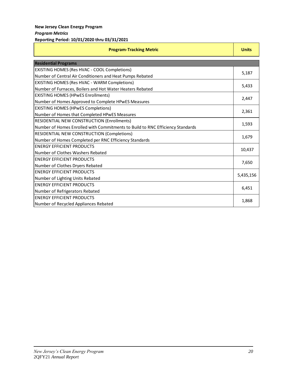| <b>Program-Tracking Metric</b>                                                 |           |  |
|--------------------------------------------------------------------------------|-----------|--|
| <b>Residential Programs</b>                                                    |           |  |
| EXISTING HOMES (Res HVAC - COOL Completions)                                   |           |  |
| Number of Central Air Conditioners and Heat Pumps Rebated                      | 5,187     |  |
| <b>EXISTING HOMES (Res HVAC - WARM Completions)</b>                            | 5,433     |  |
| Number of Furnaces, Boilers and Hot Water Heaters Rebated                      |           |  |
| <b>EXISTING HOMES (HPWES Enrollments)</b>                                      | 2,447     |  |
| Number of Homes Approved to Complete HPwES Measures                            |           |  |
| <b>EXISTING HOMES (HPwES Completions)</b>                                      |           |  |
| Number of Homes that Completed HPwES Measures                                  |           |  |
| <b>RESIDENTIAL NEW CONSTRUCTION (Enrollments)</b>                              |           |  |
| Number of Homes Enrolled with Commitments to Build to RNC Efficiency Standards |           |  |
| RESIDENTIAL NEW CONSTRUCTION (Completions)                                     |           |  |
| Number of Homes Completed per RNC Efficiency Standards                         |           |  |
| <b>ENERGY EFFICIENT PRODUCTS</b>                                               |           |  |
| Number of Clothes Washers Rebated                                              |           |  |
| <b>ENERGY EFFICIENT PRODUCTS</b>                                               |           |  |
| Number of Clothes Dryers Rebated                                               |           |  |
| <b>ENERGY EFFICIENT PRODUCTS</b>                                               | 5,435,156 |  |
| Number of Lighting Units Rebated                                               |           |  |
| <b>ENERGY EFFICIENT PRODUCTS</b>                                               | 6,451     |  |
| Number of Refrigerators Rebated                                                |           |  |
| <b>ENERGY EFFICIENT PRODUCTS</b>                                               |           |  |
| Number of Recycled Appliances Rebated                                          |           |  |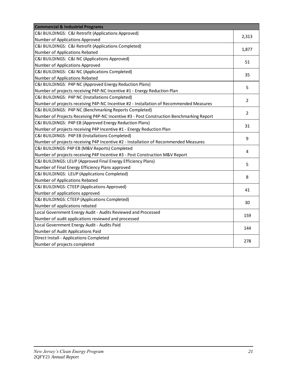| <b>Commercial &amp; Industrial Programs</b>                                              |                |
|------------------------------------------------------------------------------------------|----------------|
| C&I BUILDINGS: C&I Retrofit (Applications Approved)                                      | 2,313          |
| Number of Applications Approved                                                          |                |
| C&I BUILDINGS: C&I Retrofit (Applications Completed)                                     | 1,877          |
| Number of Applications Rebated                                                           |                |
| C&I BUILDINGS: C&I NC (Applications Approved)                                            | 51             |
| Number of Applications Approved                                                          |                |
| C&I BUILDINGS: C&I NC (Applications Completed)                                           | 35             |
| Number of Applications Rebated                                                           |                |
| C&I BUILDINGS: P4P NC (Approved Energy Reduction Plans)                                  | 5              |
| Number of projects receiving P4P-NC Incentive #1 - Energy Reduction Plan                 |                |
| C&I BUILDINGS: P4P NC (Installations Completed)                                          | 2              |
| Number of projects receiving P4P-NC Incentive #2 - Installation of Recommended Measures  |                |
| C&I BUILDINGS: P4P NC (Benchmarking Reports Completed)                                   | $\overline{2}$ |
| Number of Projects Receiving P4P-NC Incentive #3 - Post Construction Benchmarking Report |                |
| C&I BUILDINGS: P4P EB (Approved Energy Reduction Plans)                                  | 31             |
| Number of projects receiving P4P Incentive #1 - Energy Reduction Plan                    |                |
| C&I BUILDINGS: P4P EB (Installations Completed)                                          | 9              |
| Number of projects receiving P4P Incentive #2 - Installation of Recommended Measures     |                |
| C&I BUILDINGS: P4P EB (M&V Reports) Completed                                            | 4              |
| Number of projects receiving P4P Incentive #3 - Post Construction M&V Report             |                |
| C&I BUILDINGS: LEUP (Approved Final Energy Efficiency Plans)                             | 5              |
| Number of Final Energy Efficiency Plans approved                                         |                |
| C&I BUILDINGS: LEUP (Applications Completed)                                             | 8              |
| Number of Applications Rebated                                                           |                |
| C&I BUILDINGS: CTEEP (Applications Approved)                                             | 41             |
| Number of applications approved                                                          |                |
| C&I BUILDINGS: CTEEP (Applications Completed)                                            | 30             |
| Number of applications rebated                                                           |                |
| Local Government Energy Audit - Audits Reviewed and Processed                            | 159            |
| Number of audit applications reviewed and processed                                      |                |
| Local Government Energy Audit - Audits Paid                                              | 144            |
| Number of Audit Applications Paid                                                        |                |
| Direct Install - Applications Completed                                                  | 278            |
| Number of projects completed                                                             |                |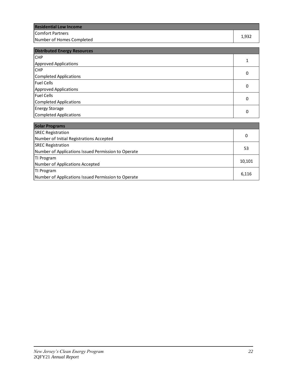| <b>Residential Low Income</b> |       |
|-------------------------------|-------|
| Comfort Partners              | 1,932 |
| Number of Homes Completed     |       |

| <b>Distributed Energy Resources</b> |   |  |
|-------------------------------------|---|--|
| <b>CHP</b>                          |   |  |
| <b>Approved Applications</b>        |   |  |
| <b>CHP</b>                          | 0 |  |
| Completed Applications              |   |  |
| Fuel Cells                          | 0 |  |
| <b>Approved Applications</b>        |   |  |
| <b>Fuel Cells</b>                   |   |  |
| <b>Completed Applications</b>       |   |  |
| <b>Energy Storage</b>               |   |  |
| Completed Applications              | 0 |  |

| <b>Solar Programs</b>                               |        |
|-----------------------------------------------------|--------|
| <b>SREC Registration</b>                            |        |
| Number of Initial Registrations Accepted            | 0      |
| <b>SREC Registration</b>                            | 53     |
| Number of Applications Issued Permission to Operate |        |
| TI Program                                          | 10,101 |
| Number of Applications Accepted                     |        |
| TI Program                                          |        |
| Number of Applications Issued Permission to Operate | 6,116  |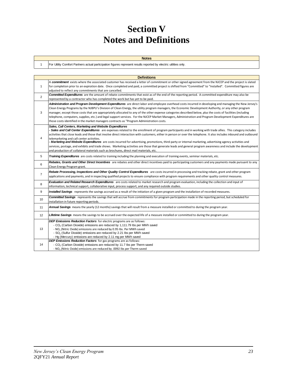# **Section V Notes and Definitions**

| <b>Notes</b>                                                                                                     |
|------------------------------------------------------------------------------------------------------------------|
| For Utility Comfort Partners actual participation figures represent results reported by electric utilities only. |

1

|                 | <b>Definitions</b>                                                                                                                                                                                                                                                                                                                                                                                                                                                                                                                                                                                                                                                                                                                                                                                                                                                 |
|-----------------|--------------------------------------------------------------------------------------------------------------------------------------------------------------------------------------------------------------------------------------------------------------------------------------------------------------------------------------------------------------------------------------------------------------------------------------------------------------------------------------------------------------------------------------------------------------------------------------------------------------------------------------------------------------------------------------------------------------------------------------------------------------------------------------------------------------------------------------------------------------------|
| $\mathbf{1}$    | A commitment exists where the associated customer has received a letter of commitment or other signed agreement from the NJCEP and the project is slated<br>for completion prior to an expiration date. Once completed and paid, a committed project is shifted from "Committed" to "Installed". Committed figures are<br>adjusted to reflect any commitments that are cancelled.                                                                                                                                                                                                                                                                                                                                                                                                                                                                                  |
| $\overline{2}$  | <b>Committed Expenditures</b> are the amount of rebate commitments that exist as of the end of the reporting period. A committed expenditure may also be<br>represented by a contractor who has completed the work but has yet to be paid.                                                                                                                                                                                                                                                                                                                                                                                                                                                                                                                                                                                                                         |
| 3               | Administration and Program Development Expenditures are direct labor and employee overhead costs incurred in developing and managing the New Jersey's<br>Clean Energy Programs by the NJBPU's Division of Clean Energy, the utility program managers, the Economic Development Authority, or any other program<br>manager, except those costs that are appropriately allocated to any of the other expense categories described below, plus the costs of facilities (including<br>telephone, computers, supplies, etc.) and legal support services. For the NJCEP Market Managers, Administration and Program Development Expenditures are<br>those costs identified in the market managers contracts as "Program Administration costs.                                                                                                                            |
| 4               | Sales, Call Centers, Marketing and Website Expenditures<br>- Sales and Call Center Expenditures are expenses related to the enrollment of program participants and in working with trade allies. This category includes<br>activities that close leads and those that involve direct interaction with customers, either in person or over the telephone. It also includes inbound and outbound<br>telemarketing and call center activities.<br>- Marketing and Website Expenditures are costs incurred for advertising, promotions, third-party or internal marketing, advertising agency activities and<br>services, postage, and exhibits and trade shows. Marketing activities are those that generate leads and general program awareness and include the development<br>and production of collateral materials such as brochures, direct mail materials, etc. |
| 5               | Training Expenditures are costs related to training including the planning and execution of training events, seminar materials, etc.                                                                                                                                                                                                                                                                                                                                                                                                                                                                                                                                                                                                                                                                                                                               |
| 6               | Rebates, Grants and Other Direct Incentives are rebates and other direct incentives paid to participating customers and any payments made pursuant to any<br>Clean Energy Program grant.                                                                                                                                                                                                                                                                                                                                                                                                                                                                                                                                                                                                                                                                           |
| $\overline{7}$  | Rebate Processing, Inspections and Other Quality Control Expenditures are costs incurred in processing and tracking rebate, grant and other program<br>applications and payments, and in inspecting qualified projects to ensure compliance with program requirements and other quality control measures.                                                                                                                                                                                                                                                                                                                                                                                                                                                                                                                                                          |
| 8               | Evaluation and Related Research Expenditures are costs related to market research and program evaluation, including the collection and input of<br>information, technical support, collaborative input, process support, and any required outside studies.                                                                                                                                                                                                                                                                                                                                                                                                                                                                                                                                                                                                         |
| 9               | Installed Savings represents the savings accrued as a result of the initiation of a given program and the installation of recorded measures.                                                                                                                                                                                                                                                                                                                                                                                                                                                                                                                                                                                                                                                                                                                       |
| 10              | Committed Savings represents the savings that will accrue from commitments for program participation made in the reporting period, but scheduled for<br>installation in future reporting periods.                                                                                                                                                                                                                                                                                                                                                                                                                                                                                                                                                                                                                                                                  |
| 11              | Annual Savings means the yearly (12 months) savings that will result from a measure installed or committed to during the program year.                                                                                                                                                                                                                                                                                                                                                                                                                                                                                                                                                                                                                                                                                                                             |
| 12 <sup>2</sup> | Lifetime Savings means the savings to be accrued over the expected life of a measure installed or committed to during the program year.                                                                                                                                                                                                                                                                                                                                                                                                                                                                                                                                                                                                                                                                                                                            |
| 13              | <b>DEP Emissions Reduction Factors</b> for electric programs are as follows:<br>- CO <sub>2</sub> (Carbon Dioxide) emissions are reduced by 1,111.79 lbs per MWh saved<br>- NO <sub>x</sub> (Nitric Oxide) emissions are reduced by 0.95 lbs. Per MWh saved<br>- SO <sub>2</sub> (Sulfur Dioxide) emissions are reduced by 2.21 lbs per MWh saved<br>- Hq (Mercury) emissions are reduced by 2.11 mq per MWh saved                                                                                                                                                                                                                                                                                                                                                                                                                                                 |
| 14              | DEP Emissions Reduction Factors for gas programs are as follows:<br>- CO <sub>2</sub> (Carbon Dioxide) emissions are reduced by 11.7 lbs per Therm saved<br>- NO <sub>x</sub> (Nitric Oxide) emissions are reduced by .0092 Ibs per Therm saved                                                                                                                                                                                                                                                                                                                                                                                                                                                                                                                                                                                                                    |